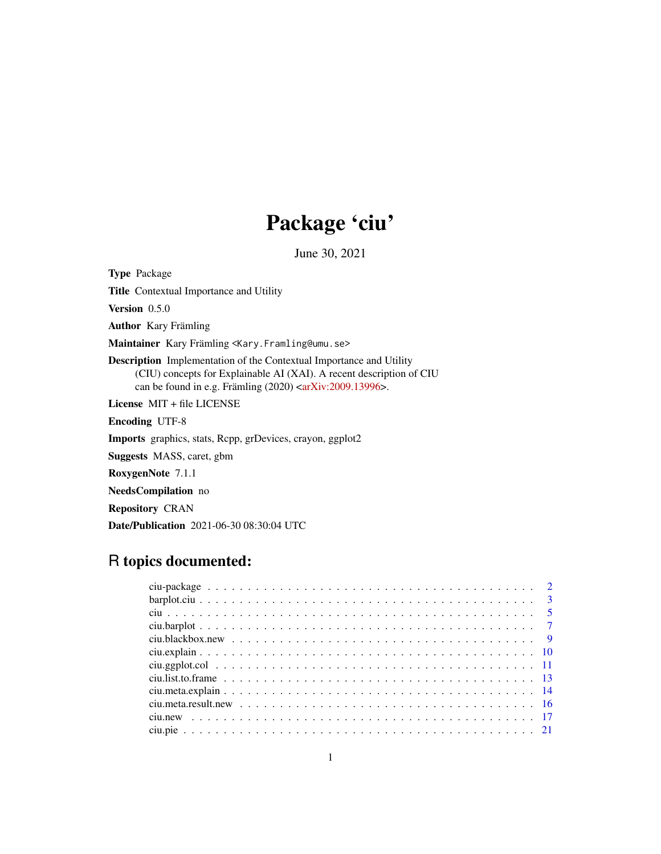# Package 'ciu'

June 30, 2021

<span id="page-0-0"></span>Type Package

Title Contextual Importance and Utility

Version 0.5.0

Author Kary Främling

Maintainer Kary Främling <Kary.Framling@umu.se>

Description Implementation of the Contextual Importance and Utility (CIU) concepts for Explainable AI (XAI). A recent description of CIU can be found in e.g. Främling  $(2020)$   $\langle \frac{\text{arXiv:}}{2009.13996} \rangle$ .

License MIT + file LICENSE

Encoding UTF-8

Imports graphics, stats, Rcpp, grDevices, crayon, ggplot2

Suggests MASS, caret, gbm

RoxygenNote 7.1.1

NeedsCompilation no

Repository CRAN

Date/Publication 2021-06-30 08:30:04 UTC

## R topics documented: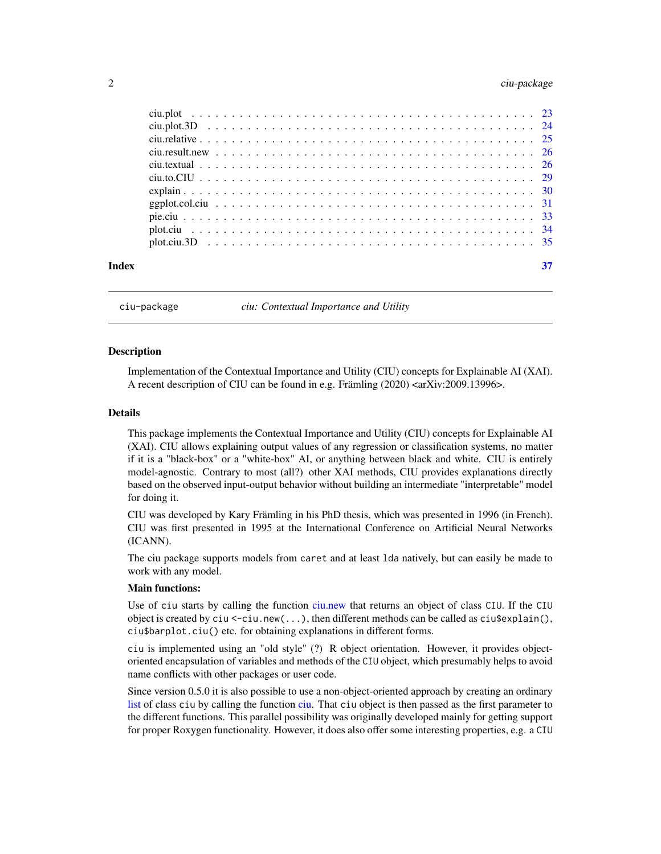## <span id="page-1-0"></span>2 ciu-package control and the control of the control of the control of the control of the control of the control of the control of the control of the control of the control of the control of the control of the control of t

| Index |  |  |  |  |  |  |  |  |  |  |  |  |  |  |  |  |  | 37 |
|-------|--|--|--|--|--|--|--|--|--|--|--|--|--|--|--|--|--|----|
|       |  |  |  |  |  |  |  |  |  |  |  |  |  |  |  |  |  |    |
|       |  |  |  |  |  |  |  |  |  |  |  |  |  |  |  |  |  |    |
|       |  |  |  |  |  |  |  |  |  |  |  |  |  |  |  |  |  |    |
|       |  |  |  |  |  |  |  |  |  |  |  |  |  |  |  |  |  |    |
|       |  |  |  |  |  |  |  |  |  |  |  |  |  |  |  |  |  |    |
|       |  |  |  |  |  |  |  |  |  |  |  |  |  |  |  |  |  |    |
|       |  |  |  |  |  |  |  |  |  |  |  |  |  |  |  |  |  |    |
|       |  |  |  |  |  |  |  |  |  |  |  |  |  |  |  |  |  |    |
|       |  |  |  |  |  |  |  |  |  |  |  |  |  |  |  |  |  |    |
|       |  |  |  |  |  |  |  |  |  |  |  |  |  |  |  |  |  |    |
|       |  |  |  |  |  |  |  |  |  |  |  |  |  |  |  |  |  |    |

ciu-package *ciu: Contextual Importance and Utility*

#### **Description**

Implementation of the Contextual Importance and Utility (CIU) concepts for Explainable AI (XAI). A recent description of CIU can be found in e.g. Främling (2020) <arXiv:2009.13996>.

#### Details

This package implements the Contextual Importance and Utility (CIU) concepts for Explainable AI (XAI). CIU allows explaining output values of any regression or classification systems, no matter if it is a "black-box" or a "white-box" AI, or anything between black and white. CIU is entirely model-agnostic. Contrary to most (all?) other XAI methods, CIU provides explanations directly based on the observed input-output behavior without building an intermediate "interpretable" model for doing it.

CIU was developed by Kary Främling in his PhD thesis, which was presented in 1996 (in French). CIU was first presented in 1995 at the International Conference on Artificial Neural Networks (ICANN).

The ciu package supports models from caret and at least lda natively, but can easily be made to work with any model.

#### Main functions:

Use of ciu starts by calling the function [ciu.new](#page-16-1) that returns an object of class CIU. If the CIU object is created by ciu <-ciu.new(...), then different methods can be called as  $\text{ciu}\$ sexplain(), ciu\$barplot.ciu() etc. for obtaining explanations in different forms.

ciu is implemented using an "old style" (?) R object orientation. However, it provides objectoriented encapsulation of variables and methods of the CIU object, which presumably helps to avoid name conflicts with other packages or user code.

Since version 0.5.0 it is also possible to use a non-object-oriented approach by creating an ordinary [list](#page-0-0) of class ciu by calling the function [ciu.](#page-4-1) That ciu object is then passed as the first parameter to the different functions. This parallel possibility was originally developed mainly for getting support for proper Roxygen functionality. However, it does also offer some interesting properties, e.g. a CIU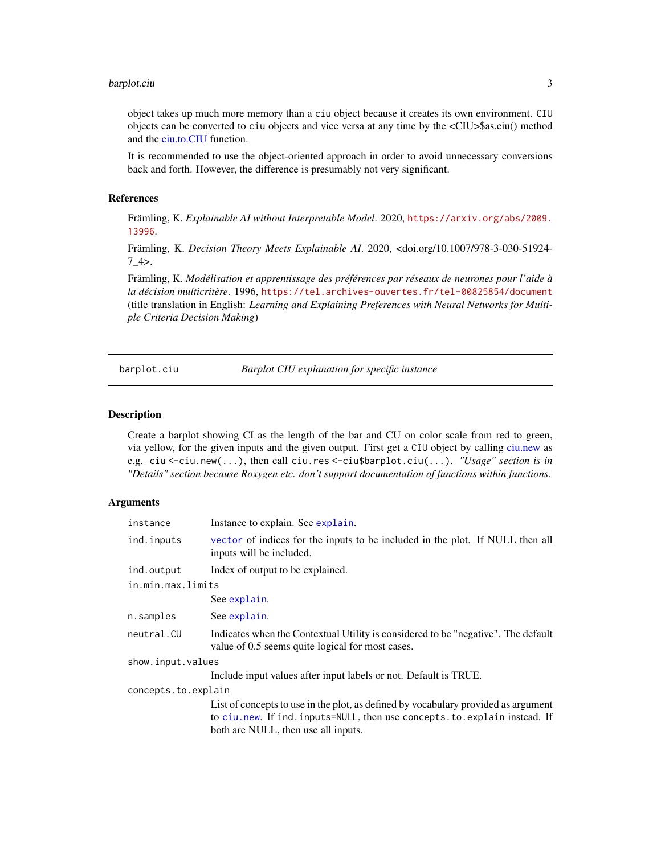#### <span id="page-2-0"></span>barplot.ciu 3

object takes up much more memory than a ciu object because it creates its own environment. CIU objects can be converted to ciu objects and vice versa at any time by the <CIU>\$as.ciu() method and the [ciu.to.CIU](#page-28-1) function.

It is recommended to use the object-oriented approach in order to avoid unnecessary conversions back and forth. However, the difference is presumably not very significant.

#### References

Främling, K. *Explainable AI without Interpretable Model*. 2020, [https://arxiv.org/abs/2009.](https://arxiv.org/abs/2009.13996) [13996](https://arxiv.org/abs/2009.13996).

Främling, K. *Decision Theory Meets Explainable AI*. 2020, <doi.org/10.1007/978-3-030-51924-  $7_4$ 

Främling, K. *Modélisation et apprentissage des préférences par réseaux de neurones pour l'aide à la décision multicritère*. 1996, <https://tel.archives-ouvertes.fr/tel-00825854/document> (title translation in English: *Learning and Explaining Preferences with Neural Networks for Multiple Criteria Decision Making*)

<span id="page-2-1"></span>

barplot.ciu *Barplot CIU explanation for specific instance*

#### **Description**

Create a barplot showing CI as the length of the bar and CU on color scale from red to green, via yellow, for the given inputs and the given output. First get a CIU object by calling [ciu.new](#page-16-1) as e.g. ciu <-ciu.new(...), then call ciu.res <-ciu\$barplot.ciu(...). *"Usage" section is in "Details" section because Roxygen etc. don't support documentation of functions within functions.*

| instance            | Instance to explain. See explain.                                                                                                                                                                     |
|---------------------|-------------------------------------------------------------------------------------------------------------------------------------------------------------------------------------------------------|
| ind.inputs          | vector of indices for the inputs to be included in the plot. If NULL then all<br>inputs will be included.                                                                                             |
| ind.output          | Index of output to be explained.                                                                                                                                                                      |
| in.min.max.limits   |                                                                                                                                                                                                       |
|                     | See explain.                                                                                                                                                                                          |
| n.samples           | See explain.                                                                                                                                                                                          |
| neutral.CU          | Indicates when the Contextual Utility is considered to be "negative". The default<br>value of 0.5 seems quite logical for most cases.                                                                 |
| show.input.values   |                                                                                                                                                                                                       |
|                     | Include input values after input labels or not. Default is TRUE.                                                                                                                                      |
| concepts.to.explain |                                                                                                                                                                                                       |
|                     | List of concepts to use in the plot, as defined by vocabulary provided as argument<br>to ciu.new. If ind.inputs=NULL, then use concepts.to.explain instead. If<br>both are NULL, then use all inputs. |
|                     |                                                                                                                                                                                                       |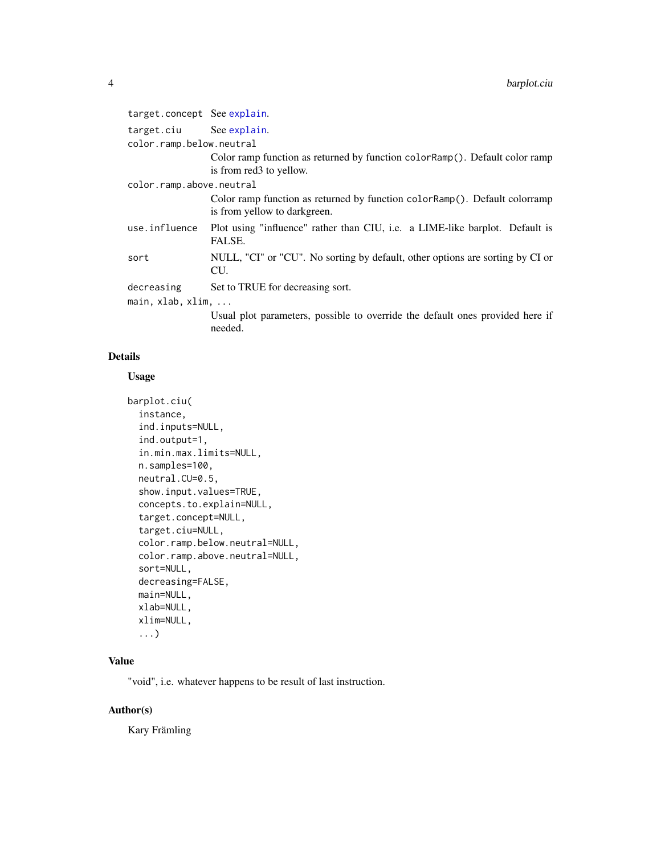| target.concept See explain.      |                                                                                                             |  |  |  |  |  |  |
|----------------------------------|-------------------------------------------------------------------------------------------------------------|--|--|--|--|--|--|
| target.ciu See explain.          |                                                                                                             |  |  |  |  |  |  |
| color.ramp.below.neutral         |                                                                                                             |  |  |  |  |  |  |
|                                  | Color ramp function as returned by function color Ramp(). Default color ramp                                |  |  |  |  |  |  |
|                                  | is from red3 to yellow.                                                                                     |  |  |  |  |  |  |
| color.ramp.above.neutral         |                                                                                                             |  |  |  |  |  |  |
|                                  | Color ramp function as returned by function color Ramp(). Default colorramp<br>is from yellow to darkgreen. |  |  |  |  |  |  |
| use.influence                    | Plot using "influence" rather than CIU, i.e. a LIME-like barplot. Default is<br>FALSE.                      |  |  |  |  |  |  |
| sort                             | NULL, "CI" or "CU". No sorting by default, other options are sorting by CI or<br>CU.                        |  |  |  |  |  |  |
| decreasing                       | Set to TRUE for decreasing sort.                                                                            |  |  |  |  |  |  |
| main, $x$ lab, $x$ lim, $\ldots$ |                                                                                                             |  |  |  |  |  |  |
|                                  | Usual plot parameters, possible to override the default ones provided here if<br>needed.                    |  |  |  |  |  |  |

## Details

## Usage

```
barplot.ciu(
  instance,
  ind.inputs=NULL,
  ind.output=1,
  in.min.max.limits=NULL,
 n.samples=100,
 neutral.CU=0.5,
  show.input.values=TRUE,
  concepts.to.explain=NULL,
  target.concept=NULL,
  target.ciu=NULL,
  color.ramp.below.neutral=NULL,
  color.ramp.above.neutral=NULL,
  sort=NULL,
  decreasing=FALSE,
 main=NULL,
 xlab=NULL,
  xlim=NULL,
  ...)
```
## Value

"void", i.e. whatever happens to be result of last instruction.

## Author(s)

Kary Främling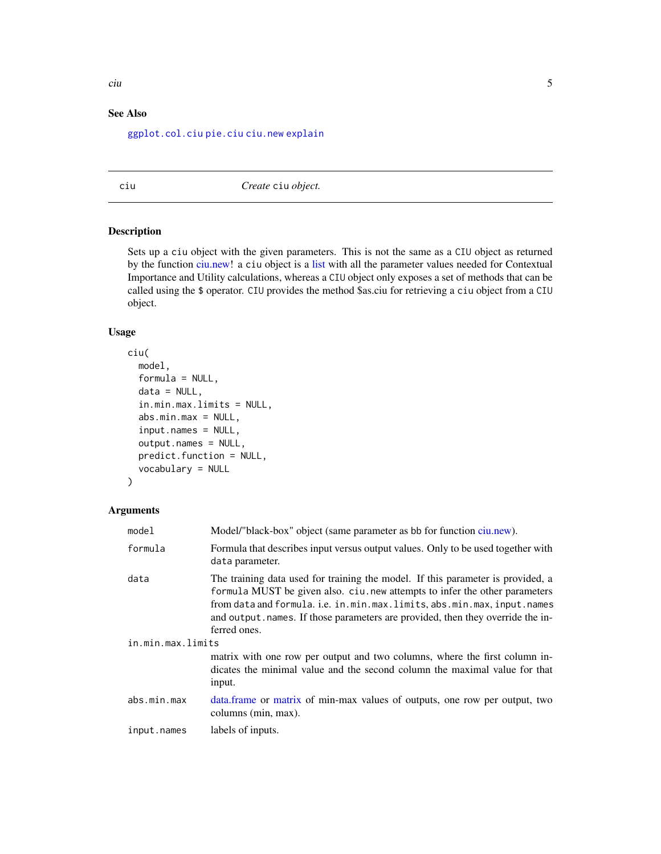## <span id="page-4-0"></span>See Also

[ggplot.col.ciu](#page-30-1) [pie.ciu](#page-32-1) [ciu.new](#page-16-1) [explain](#page-29-1)

<span id="page-4-1"></span>ciu *Create* ciu *object.*

## Description

Sets up a ciu object with the given parameters. This is not the same as a CIU object as returned by the function [ciu.new!](#page-16-1) a ciu object is a [list](#page-0-0) with all the parameter values needed for Contextual Importance and Utility calculations, whereas a CIU object only exposes a set of methods that can be called using the \$ operator. CIU provides the method \$as.ciu for retrieving a ciu object from a CIU object.

## Usage

```
ciu(
  model,
  formula = NULL,
  data = NULL,
  in.min.max.limits = NULL,
  abs.min.max = NULL,
  input.names = NULL,
  output.names = NULL,
  predict.function = NULL,
  vocabulary = NULL
)
```

| model             | Model/"black-box" object (same parameter as bb for function ciu.new).                                                                                                                                                                                                                                                                      |
|-------------------|--------------------------------------------------------------------------------------------------------------------------------------------------------------------------------------------------------------------------------------------------------------------------------------------------------------------------------------------|
| formula           | Formula that describes input versus output values. Only to be used together with<br>data parameter.                                                                                                                                                                                                                                        |
| data              | The training data used for training the model. If this parameter is provided, a<br>formula MUST be given also. ciu.new attempts to infer the other parameters<br>from data and formula. i.e. in.min.max.limits, abs.min.max, input.names<br>and output names. If those parameters are provided, then they override the in-<br>ferred ones. |
| in.min.max.limits |                                                                                                                                                                                                                                                                                                                                            |
|                   | matrix with one row per output and two columns, where the first column in-<br>dicates the minimal value and the second column the maximal value for that<br>input.                                                                                                                                                                         |
| abs.min.max       | data. frame or matrix of min-max values of outputs, one row per output, two<br>columns (min, max).                                                                                                                                                                                                                                         |
| input.names       | labels of inputs.                                                                                                                                                                                                                                                                                                                          |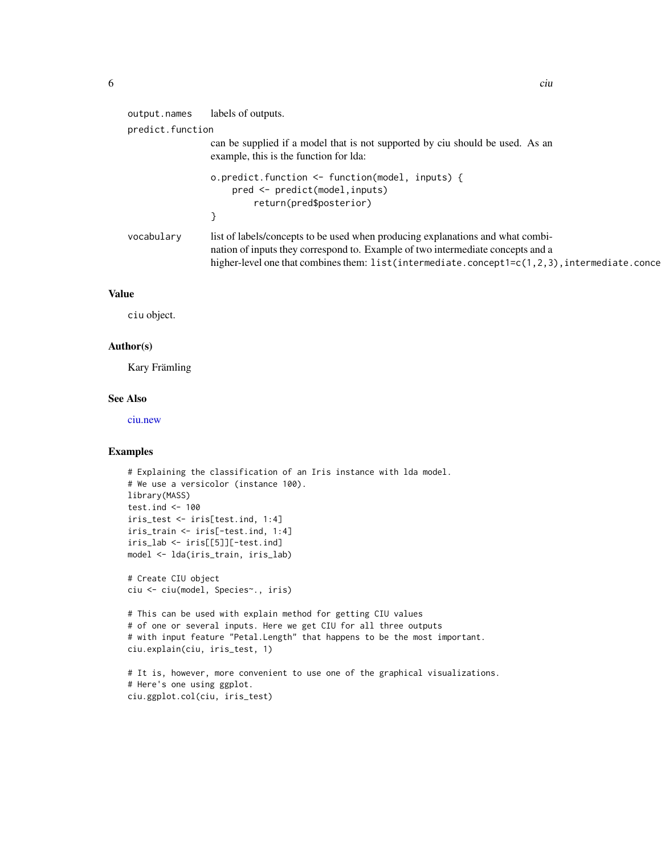| labels of outputs.<br>output.names<br>predict.function<br>can be supplied if a model that is not supported by ciu should be used. As an                                                                                                                                             |
|-------------------------------------------------------------------------------------------------------------------------------------------------------------------------------------------------------------------------------------------------------------------------------------|
|                                                                                                                                                                                                                                                                                     |
|                                                                                                                                                                                                                                                                                     |
| example, this is the function for Ida:                                                                                                                                                                                                                                              |
| o.predict.function <- function(model, inputs) {<br>pred <- predict(model, inputs)<br>return(pred\$posterior)                                                                                                                                                                        |
|                                                                                                                                                                                                                                                                                     |
| list of labels/concepts to be used when producing explanations and what combi-<br>vocabulary<br>nation of inputs they correspond to. Example of two intermediate concepts and a<br>higher-level one that combines them: $list(intermediate.concept1=c(1,2,3))$ , intermediate.conce |

## Value

ciu object.

#### Author(s)

Kary Främling

## See Also

[ciu.new](#page-16-1)

## Examples

```
# Explaining the classification of an Iris instance with lda model.
# We use a versicolor (instance 100).
library(MASS)
test.ind <-100iris_test <- iris[test.ind, 1:4]
iris_train <- iris[-test.ind, 1:4]
iris_lab <- iris[[5]][-test.ind]
model <- lda(iris_train, iris_lab)
# Create CIU object
ciu <- ciu(model, Species~., iris)
```
# This can be used with explain method for getting CIU values # of one or several inputs. Here we get CIU for all three outputs # with input feature "Petal.Length" that happens to be the most important. ciu.explain(ciu, iris\_test, 1)

```
# It is, however, more convenient to use one of the graphical visualizations.
# Here's one using ggplot.
ciu.ggplot.col(ciu, iris_test)
```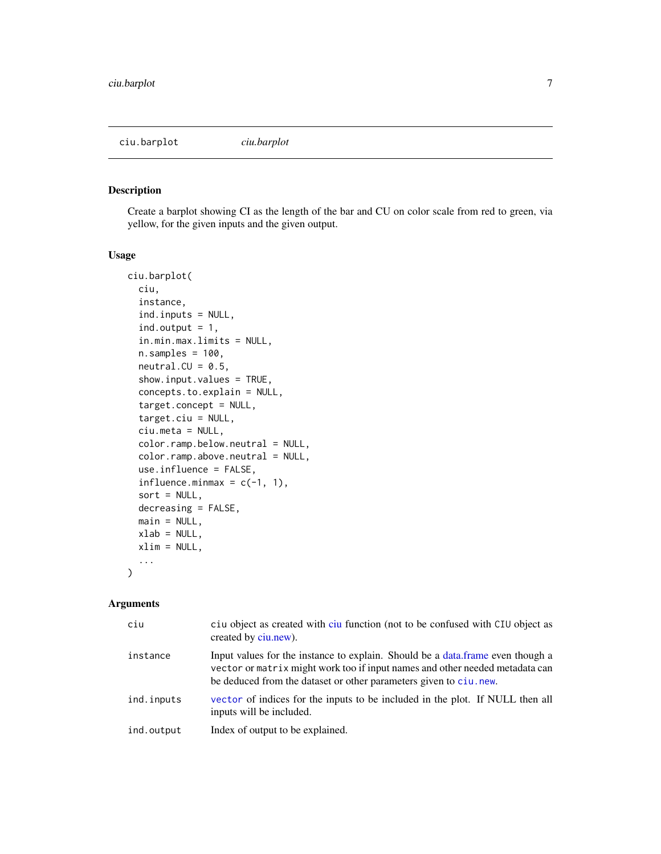<span id="page-6-0"></span>ciu.barplot *ciu.barplot*

## Description

Create a barplot showing CI as the length of the bar and CU on color scale from red to green, via yellow, for the given inputs and the given output.

## Usage

```
ciu.barplot(
  ciu,
  instance,
  ind.inputs = NULL,
  ind.output = 1,
  in.min.max.limits = NULL,
  n.samples = 100,neutral.CU = 0.5,
  show.input.values = TRUE,
  concepts.to.explain = NULL,
  target.concept = NULL,
  target.ciu = NULL,
  ciu.meta = NULL,
  color.ramp.below.neutral = NULL,
  color.ramp.above.neutral = NULL,
  use.influence = FALSE,
  influence.minmax = c(-1, 1),sort = NULL,decreasing = FALSE,
 main = NULL,xlab = NULL,xlim = NULL,...
)
```

| ciu        | ciu object as created with ciu function (not to be confused with CIU object as<br>created by ciu.new).                                                                                                                              |
|------------|-------------------------------------------------------------------------------------------------------------------------------------------------------------------------------------------------------------------------------------|
| instance   | Input values for the instance to explain. Should be a data frame even though a<br>vector or matrix might work too if input names and other needed metadata can<br>be deduced from the dataset or other parameters given to ciu.new. |
| ind.inputs | vector of indices for the inputs to be included in the plot. If NULL then all<br>inputs will be included.                                                                                                                           |
| ind.output | Index of output to be explained.                                                                                                                                                                                                    |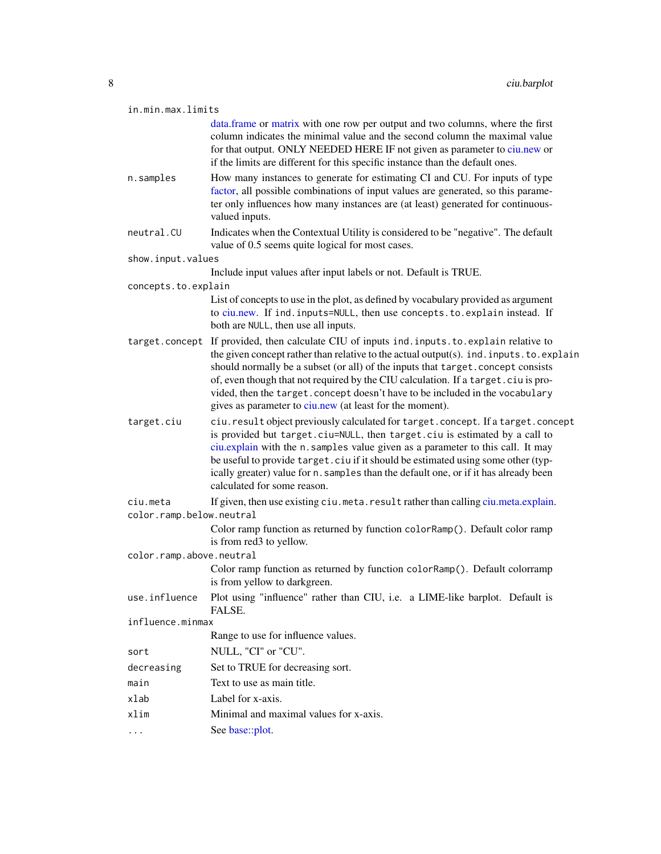<span id="page-7-0"></span>

|  | in.min.max.limits |  |  |
|--|-------------------|--|--|
|  |                   |  |  |

[data.frame](#page-0-0) or [matrix](#page-0-0) with one row per output and two columns, where the first column indicates the minimal value and the second column the maximal value for that output. ONLY NEEDED HERE IF not given as parameter to [ciu.new](#page-16-1) or if the limits are different for this specific instance than the default ones.

- n.samples How many instances to generate for estimating CI and CU. For inputs of type [factor,](#page-0-0) all possible combinations of input values are generated, so this parameter only influences how many instances are (at least) generated for continuousvalued inputs.
- neutral. CU Indicates when the Contextual Utility is considered to be "negative". The default value of 0.5 seems quite logical for most cases.

show.input.values

Include input values after input labels or not. Default is TRUE.

concepts.to.explain

List of concepts to use in the plot, as defined by vocabulary provided as argument to [ciu.new.](#page-16-1) If ind.inputs=NULL, then use concepts.to.explain instead. If both are NULL, then use all inputs.

- target.concept If provided, then calculate CIU of inputs ind.inputs.to.explain relative to the given concept rather than relative to the actual output(s). ind.inputs.to.explain should normally be a subset (or all) of the inputs that target.concept consists of, even though that not required by the CIU calculation. If a target.ciu is provided, then the target.concept doesn't have to be included in the vocabulary gives as parameter to [ciu.new](#page-16-1) (at least for the moment).
- target.ciu ciu.result object previously calculated for target.concept. If a target.concept is provided but target.ciu=NULL, then target.ciu is estimated by a call to [ciu.explain](#page-9-1) with the n.samples value given as a parameter to this call. It may be useful to provide target.ciu if it should be estimated using some other (typically greater) value for n.samples than the default one, or if it has already been calculated for some reason.
- ciu.meta If given, then use existing ciu.meta.result rather than calling [ciu.meta.explain.](#page-13-1) color.ramp.below.neutral

Color ramp function as returned by function colorRamp(). Default color ramp is from red3 to yellow.

color.ramp.above.neutral

Color ramp function as returned by function colorRamp(). Default colorramp is from yellow to darkgreen.

- use.influence Plot using "influence" rather than CIU, i.e. a LIME-like barplot. Default is FALSE.
- influence.minmax

Range to use for influence values.

- sort NULL, "CI" or "CU".
- decreasing Set to TRUE for decreasing sort.
- main Text to use as main title.
- xlab Label for x-axis.
- xlim Minimal and maximal values for x-axis.
- ... See [base::plot.](#page-0-0)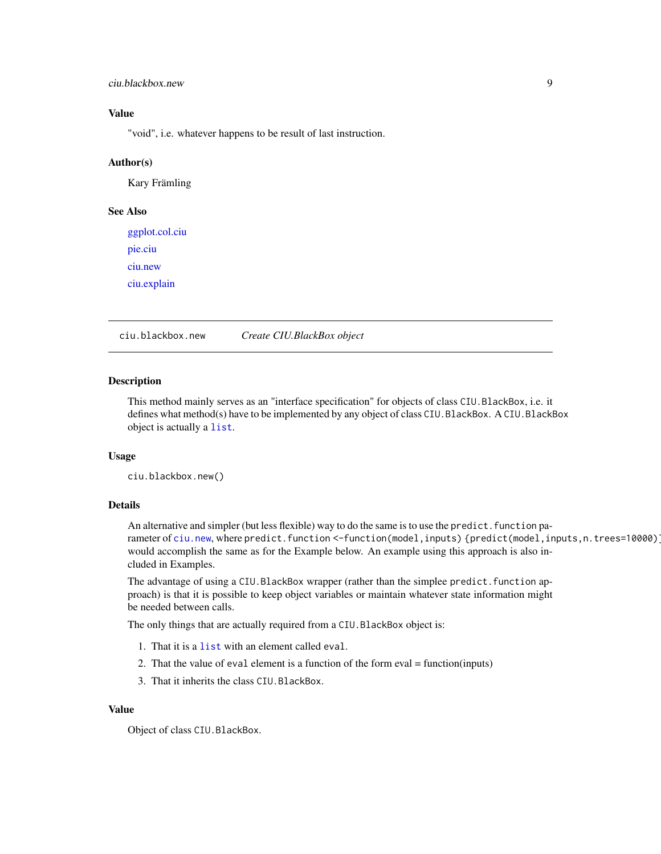## <span id="page-8-0"></span>ciu.blackbox.new 9

## Value

"void", i.e. whatever happens to be result of last instruction.

#### Author(s)

Kary Främling

## See Also

[ggplot.col.ciu](#page-30-1) [pie.ciu](#page-32-1) [ciu.new](#page-16-1) [ciu.explain](#page-9-1)

ciu.blackbox.new *Create CIU.BlackBox object*

#### Description

This method mainly serves as an "interface specification" for objects of class CIU.BlackBox, i.e. it defines what method(s) have to be implemented by any object of class CIU.BlackBox. A CIU.BlackBox object is actually a [list](#page-0-0).

#### Usage

ciu.blackbox.new()

## Details

An alternative and simpler (but less flexible) way to do the same is to use the predict. function parameter of [ciu.new](#page-16-1), where predict.function <-function(model,inputs) {predict(model,inputs,n.trees=10000)} would accomplish the same as for the Example below. An example using this approach is also included in Examples.

The advantage of using a CIU.BlackBox wrapper (rather than the simplee predict.function approach) is that it is possible to keep object variables or maintain whatever state information might be needed between calls.

The only things that are actually required from a CIU.BlackBox object is:

- 1. That it is a [list](#page-0-0) with an element called eval.
- 2. That the value of eval element is a function of the form eval = function(inputs)
- 3. That it inherits the class CIU.BlackBox.

#### Value

Object of class CIU.BlackBox.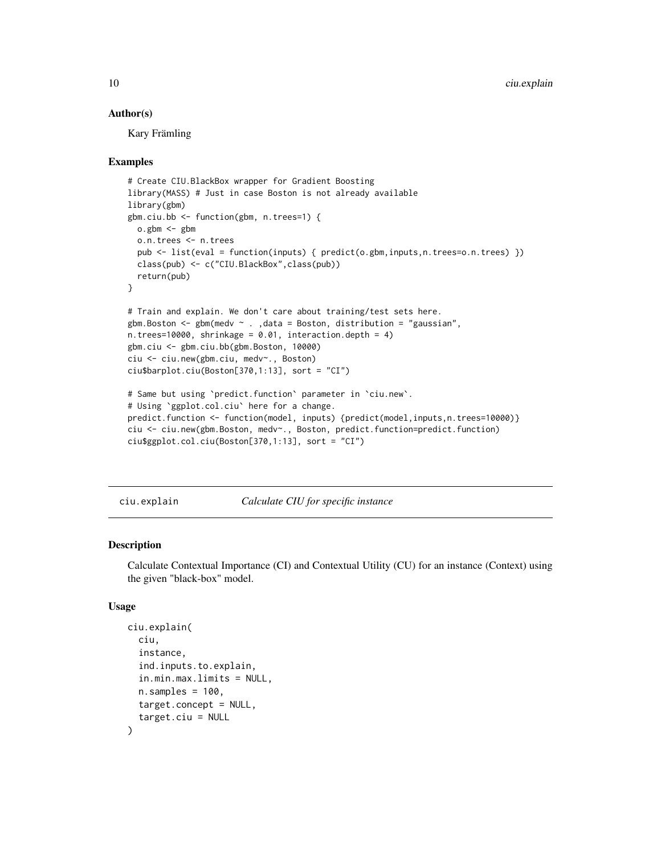#### Author(s)

Kary Främling

#### Examples

```
# Create CIU.BlackBox wrapper for Gradient Boosting
library(MASS) # Just in case Boston is not already available
library(gbm)
gbm.ciu.bb <- function(gbm, n.trees=1) {
 o.gbm \leq gbm
 o.n.trees <- n.trees
 pub <- list(eval = function(inputs) { predict(o.gbm,inputs,n.trees=o.n.trees) })
 class(pub) <- c("CIU.BlackBox",class(pub))
 return(pub)
}
# Train and explain. We don't care about training/test sets here.
gbm.Boston \leq gbm(medv \sim ., data = Boston, distribution = "gaussian",
n.trees=10000, shrinkage = 0.01, interaction.depth = 4)
gbm.ciu <- gbm.ciu.bb(gbm.Boston, 10000)
ciu <- ciu.new(gbm.ciu, medv~., Boston)
ciu$barplot.ciu(Boston[370,1:13], sort = "CI")
# Same but using `predict.function` parameter in `ciu.new`.
# Using `ggplot.col.ciu` here for a change.
predict.function <- function(model, inputs) {predict(model,inputs,n.trees=10000)}
ciu <- ciu.new(gbm.Boston, medv~., Boston, predict.function=predict.function)
ciu$ggplot.col.ciu(Boston[370,1:13], sort = "CI")
```
<span id="page-9-1"></span>ciu.explain *Calculate CIU for specific instance*

#### Description

Calculate Contextual Importance (CI) and Contextual Utility (CU) for an instance (Context) using the given "black-box" model.

#### Usage

```
ciu.explain(
  ciu,
  instance,
  ind.inputs.to.explain,
  in.min.max.limits = NULL,
  n.samples = 100,
  target.concept = NULL,
  target.ciu = NULL
)
```
<span id="page-9-0"></span>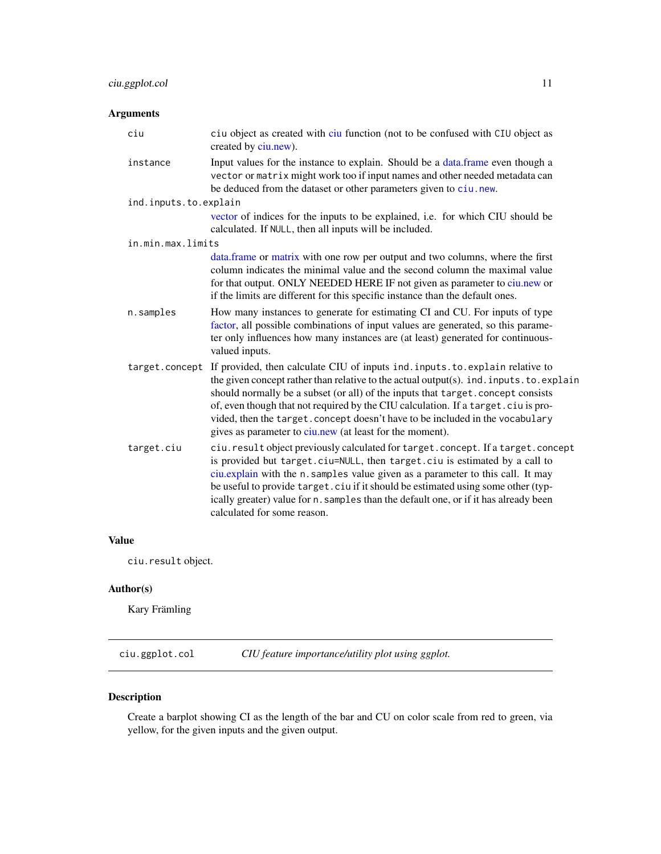## <span id="page-10-0"></span>Arguments

| ciu                   | ciu object as created with ciu function (not to be confused with CIU object as<br>created by ciu.new).                                                                                                                                                                                                                                                                                                                                                                                                       |
|-----------------------|--------------------------------------------------------------------------------------------------------------------------------------------------------------------------------------------------------------------------------------------------------------------------------------------------------------------------------------------------------------------------------------------------------------------------------------------------------------------------------------------------------------|
| instance              | Input values for the instance to explain. Should be a data frame even though a<br>vector or matrix might work too if input names and other needed metadata can<br>be deduced from the dataset or other parameters given to ciu.new.                                                                                                                                                                                                                                                                          |
| ind.inputs.to.explain |                                                                                                                                                                                                                                                                                                                                                                                                                                                                                                              |
|                       | vector of indices for the inputs to be explained, i.e. for which CIU should be<br>calculated. If NULL, then all inputs will be included.                                                                                                                                                                                                                                                                                                                                                                     |
| in.min.max.limits     |                                                                                                                                                                                                                                                                                                                                                                                                                                                                                                              |
|                       | data.frame or matrix with one row per output and two columns, where the first<br>column indicates the minimal value and the second column the maximal value<br>for that output. ONLY NEEDED HERE IF not given as parameter to ciu.new or<br>if the limits are different for this specific instance than the default ones.                                                                                                                                                                                    |
| n.samples             | How many instances to generate for estimating CI and CU. For inputs of type<br>factor, all possible combinations of input values are generated, so this parame-<br>ter only influences how many instances are (at least) generated for continuous-<br>valued inputs.                                                                                                                                                                                                                                         |
|                       | target.concept If provided, then calculate CIU of inputs ind.inputs.to.explain relative to<br>the given concept rather than relative to the actual output(s). ind. inputs. to. explain<br>should normally be a subset (or all) of the inputs that target. concept consists<br>of, even though that not required by the CIU calculation. If a target.ciu is pro-<br>vided, then the target. concept doesn't have to be included in the vocabulary<br>gives as parameter to ciu.new (at least for the moment). |
| target.ciu            | ciu. result object previously calculated for target. concept. If a target. concept<br>is provided but target.ciu=NULL, then target.ciu is estimated by a call to<br>ciu.explain with the n. samples value given as a parameter to this call. It may<br>be useful to provide target. ciu if it should be estimated using some other (typ-<br>ically greater) value for n. samples than the default one, or if it has already been<br>calculated for some reason.                                              |

## Value

ciu.result object.

## Author(s)

Kary Främling

ciu.ggplot.col *CIU feature importance/utility plot using ggplot.*

## Description

Create a barplot showing CI as the length of the bar and CU on color scale from red to green, via yellow, for the given inputs and the given output.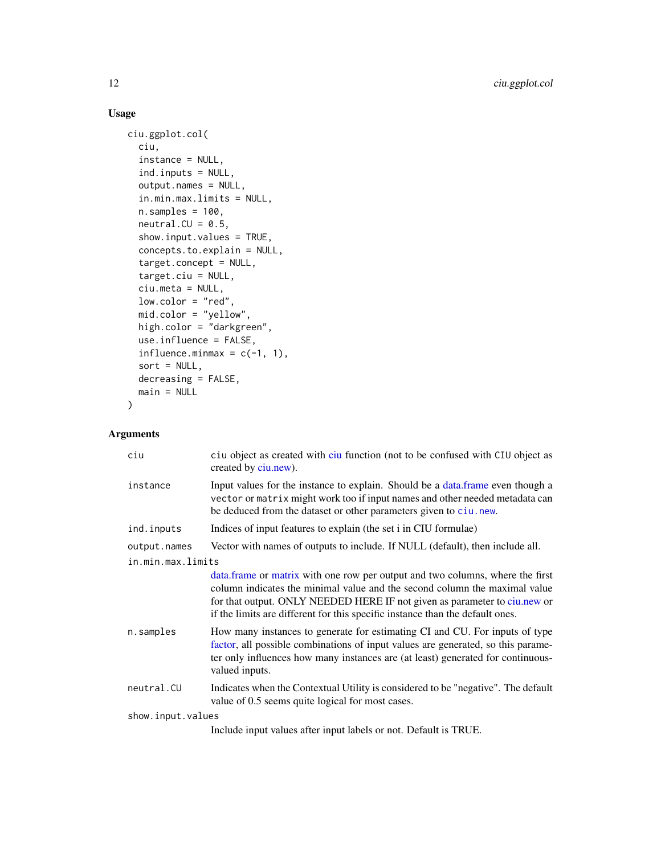## Usage

```
ciu.ggplot.col(
  ciu,
  instance = NULL,
  ind.inputs = NULL,
 output.names = NULL,
  in.min.max.limits = NULL,
 n.samples = 100,neutral.CU = 0.5,show.input.values = TRUE,
  concepts.to.explain = NULL,
  target.concept = NULL,
  target.ciu = NULL,
 ciu.meta = NULL,
  low.color = "red",
 mid.color = "yellow",
 high.color = "darkgreen",
 use.influence = FALSE,
  influence.minmax = c(-1, 1),sort = NULL,decreasing = FALSE,
 main = NULL
)
```

| ciu               | ciu object as created with ciu function (not to be confused with CIU object as<br>created by ciu.new).                                                                                                                                                                                                                     |
|-------------------|----------------------------------------------------------------------------------------------------------------------------------------------------------------------------------------------------------------------------------------------------------------------------------------------------------------------------|
| instance          | Input values for the instance to explain. Should be a data frame even though a<br>vector or matrix might work too if input names and other needed metadata can<br>be deduced from the dataset or other parameters given to ciu.new.                                                                                        |
| ind.inputs        | Indices of input features to explain (the set i in CIU formulae)                                                                                                                                                                                                                                                           |
| output.names      | Vector with names of outputs to include. If NULL (default), then include all.                                                                                                                                                                                                                                              |
| in.min.max.limits |                                                                                                                                                                                                                                                                                                                            |
|                   | data. frame or matrix with one row per output and two columns, where the first<br>column indicates the minimal value and the second column the maximal value<br>for that output. ONLY NEEDED HERE IF not given as parameter to ciu.new or<br>if the limits are different for this specific instance than the default ones. |
| n.samples         | How many instances to generate for estimating CI and CU. For inputs of type<br>factor, all possible combinations of input values are generated, so this parame-<br>ter only influences how many instances are (at least) generated for continuous-<br>valued inputs.                                                       |
| neutral.CU        | Indicates when the Contextual Utility is considered to be "negative". The default<br>value of 0.5 seems quite logical for most cases.                                                                                                                                                                                      |
| show.input.values |                                                                                                                                                                                                                                                                                                                            |
|                   | Include input values after input labels or not. Default is TRUE.                                                                                                                                                                                                                                                           |

<span id="page-11-0"></span>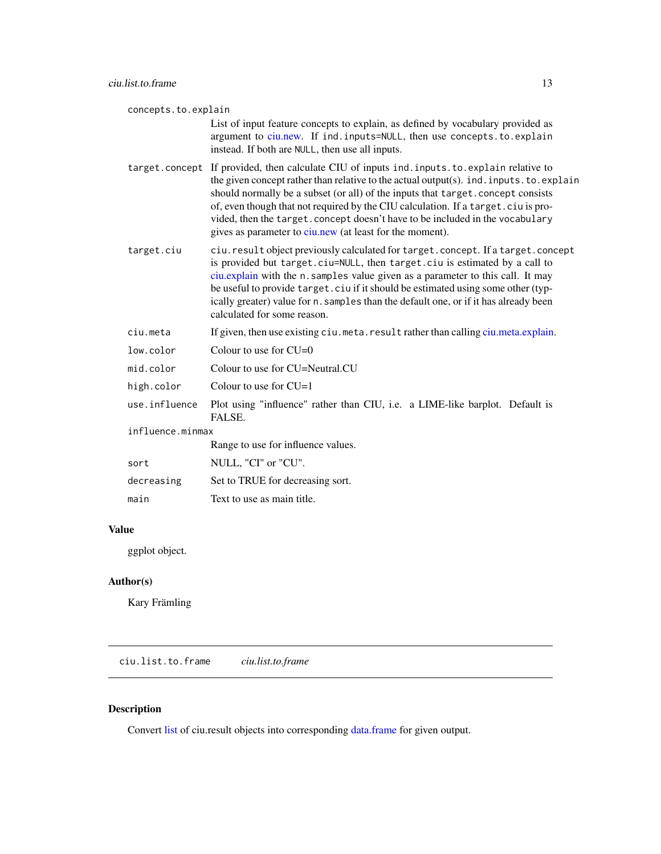<span id="page-12-0"></span>concepts.to.explain List of input feature concepts to explain, as defined by vocabulary provided as argument to [ciu.new.](#page-16-1) If ind. inputs=NULL, then use concepts.to.explain instead. If both are NULL, then use all inputs. target.concept If provided, then calculate CIU of inputs ind.inputs.to.explain relative to the given concept rather than relative to the actual output(s). ind.inputs.to.explain should normally be a subset (or all) of the inputs that target.concept consists of, even though that not required by the CIU calculation. If a target.ciu is provided, then the target.concept doesn't have to be included in the vocabulary gives as parameter to [ciu.new](#page-16-1) (at least for the moment). target.ciu ciu.result object previously calculated for target.concept. If a target.concept is provided but target.ciu=NULL, then target.ciu is estimated by a call to [ciu.explain](#page-9-1) with the n.samples value given as a parameter to this call. It may be useful to provide target.ciu if it should be estimated using some other (typically greater) value for n.samples than the default one, or if it has already been calculated for some reason. ciu.meta If given, then use existing ciu.meta.result rather than calling [ciu.meta.explain.](#page-13-1) low.color Colour to use for CU=0 mid.color Colour to use for CU=Neutral.CU high.color Colour to use for CU=1 use.influence Plot using "influence" rather than CIU, i.e. a LIME-like barplot. Default is FALSE. influence.minmax Range to use for influence values. sort NULL, "CI" or "CU". decreasing Set to TRUE for decreasing sort. main Text to use as main title.

## Value

ggplot object.

#### Author(s)

Kary Främling

ciu.list.to.frame *ciu.list.to.frame*

## **Description**

Convert [list](#page-0-0) of ciu.result objects into corresponding [data.frame](#page-0-0) for given output.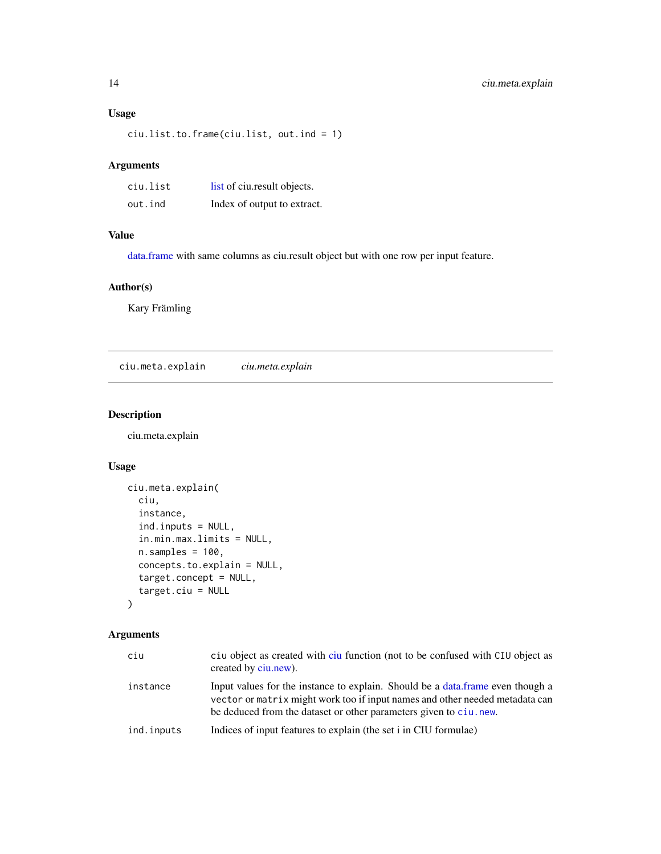## <span id="page-13-0"></span>Usage

ciu.list.to.frame(ciu.list, out.ind = 1)

## Arguments

| ciu.list | list of ciu.result objects. |
|----------|-----------------------------|
| out.ind  | Index of output to extract. |

## Value

[data.frame](#page-0-0) with same columns as ciu.result object but with one row per input feature.

## Author(s)

Kary Främling

<span id="page-13-1"></span>ciu.meta.explain *ciu.meta.explain*

## Description

ciu.meta.explain

## Usage

```
ciu.meta.explain(
  ciu,
  instance,
  ind.inputs = NULL,
  in.min.max.limits = NULL,
  n.samples = 100,concepts.to.explain = NULL,
  target.concept = NULL,
  target.ciu = NULL
)
```

| ciu        | ciu object as created with ciu function (not to be confused with CIU object as<br>created by ciu.new).                                                                                                                               |
|------------|--------------------------------------------------------------------------------------------------------------------------------------------------------------------------------------------------------------------------------------|
| instance   | Input values for the instance to explain. Should be a data frame even though a<br>vector or matrix might work too if input names and other needed metadata can<br>be deduced from the dataset or other parameters given to ciu, new. |
| ind.inputs | Indices of input features to explain (the set i in CIU formulae)                                                                                                                                                                     |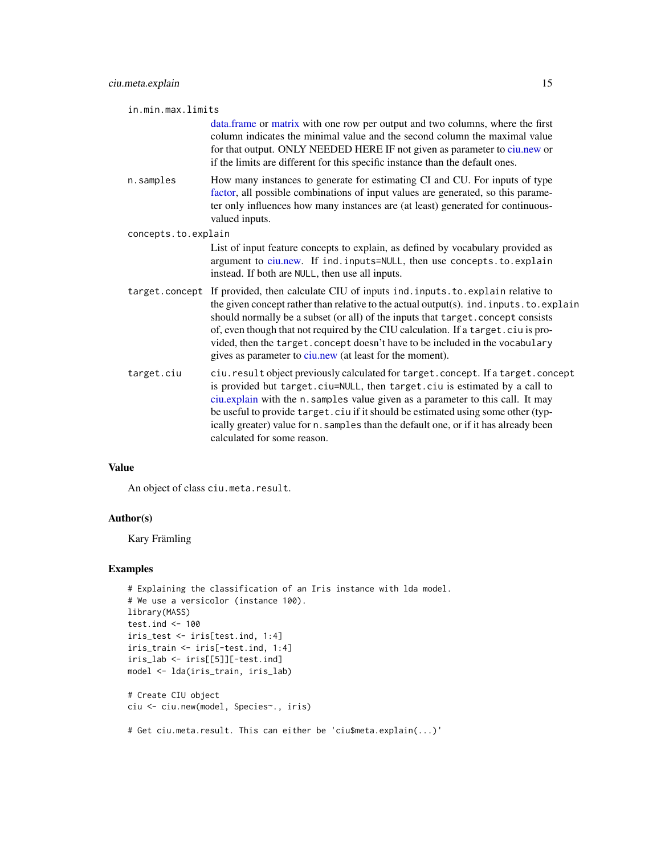<span id="page-14-0"></span>

|  | in.min.max.limits |  |
|--|-------------------|--|
|  |                   |  |

[data.frame](#page-0-0) or [matrix](#page-0-0) with one row per output and two columns, where the first column indicates the minimal value and the second column the maximal value for that output. ONLY NEEDED HERE IF not given as parameter to [ciu.new](#page-16-1) or if the limits are different for this specific instance than the default ones.

n.samples How many instances to generate for estimating CI and CU. For inputs of type [factor,](#page-0-0) all possible combinations of input values are generated, so this parameter only influences how many instances are (at least) generated for continuousvalued inputs.

```
concepts.to.explain
```
List of input feature concepts to explain, as defined by vocabulary provided as argument to [ciu.new.](#page-16-1) If ind. inputs=NULL, then use concepts.to.explain instead. If both are NULL, then use all inputs.

- target.concept If provided, then calculate CIU of inputs ind.inputs.to.explain relative to the given concept rather than relative to the actual output(s). ind.inputs.to.explain should normally be a subset (or all) of the inputs that target.concept consists of, even though that not required by the CIU calculation. If a target.ciu is provided, then the target.concept doesn't have to be included in the vocabulary gives as parameter to [ciu.new](#page-16-1) (at least for the moment).
- target.ciu ciu.result object previously calculated for target.concept. If a target.concept is provided but target.ciu=NULL, then target.ciu is estimated by a call to [ciu.explain](#page-9-1) with the n.samples value given as a parameter to this call. It may be useful to provide target.ciu if it should be estimated using some other (typically greater) value for n.samples than the default one, or if it has already been calculated for some reason.

## Value

An object of class ciu.meta.result.

#### Author(s)

Kary Främling

#### Examples

```
# Explaining the classification of an Iris instance with lda model.
# We use a versicolor (instance 100).
library(MASS)
test.ind <-100iris_test <- iris[test.ind, 1:4]
iris_train <- iris[-test.ind, 1:4]
iris_lab <- iris[[5]][-test.ind]
model <- lda(iris_train, iris_lab)
# Create CIU object
ciu <- ciu.new(model, Species~., iris)
# Get ciu.meta.result. This can either be 'ciu$meta.explain(...)'
```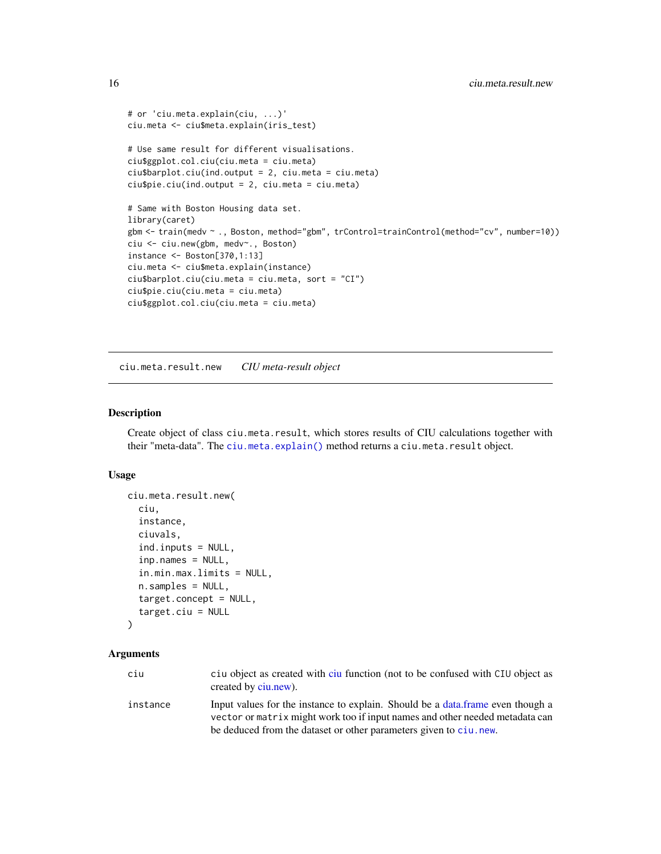```
# or 'ciu.meta.explain(ciu, ...)'
ciu.meta <- ciu$meta.explain(iris_test)
# Use same result for different visualisations.
ciu$ggplot.col.ciu(ciu.meta = ciu.meta)
ciu$barplot.ciu(ind.output = 2, ciu.meta = ciu.meta)
ciu$pie.ciu(ind.output = 2, ciu.meta = ciu.meta)
# Same with Boston Housing data set.
library(caret)
gbm <- train(medv ~ ., Boston, method="gbm", trControl=trainControl(method="cv", number=10))
ciu <- ciu.new(gbm, medv~., Boston)
instance <- Boston[370,1:13]
ciu.meta <- ciu$meta.explain(instance)
ciu$barplot.ciu(ciu.meta = ciu.meta, sort = "CI")
ciu$pie.ciu(ciu.meta = ciu.meta)
ciu$ggplot.col.ciu(ciu.meta = ciu.meta)
```
ciu.meta.result.new *CIU meta-result object*

#### Description

Create object of class ciu.meta.result, which stores results of CIU calculations together with their "meta-data". The [ciu.meta.explain\(\)](#page-13-1) method returns a ciu.meta.result object.

#### Usage

```
ciu.meta.result.new(
  ciu,
  instance,
  ciuvals,
  ind.inputs = NULL,
  inp.names = NULL,
  in.min.max.limits = NULL,
  n.samples = NULL,
  target.concept = NULL,
  target.ciu = NULL
\lambda
```

| ciu      | ciu object as created with ciu function (not to be confused with CIU object as<br>created by ciu.new).                                                         |
|----------|----------------------------------------------------------------------------------------------------------------------------------------------------------------|
| instance | Input values for the instance to explain. Should be a data frame even though a<br>vector or matrix might work too if input names and other needed metadata can |
|          | be deduced from the dataset or other parameters given to ciu, new.                                                                                             |

<span id="page-15-0"></span>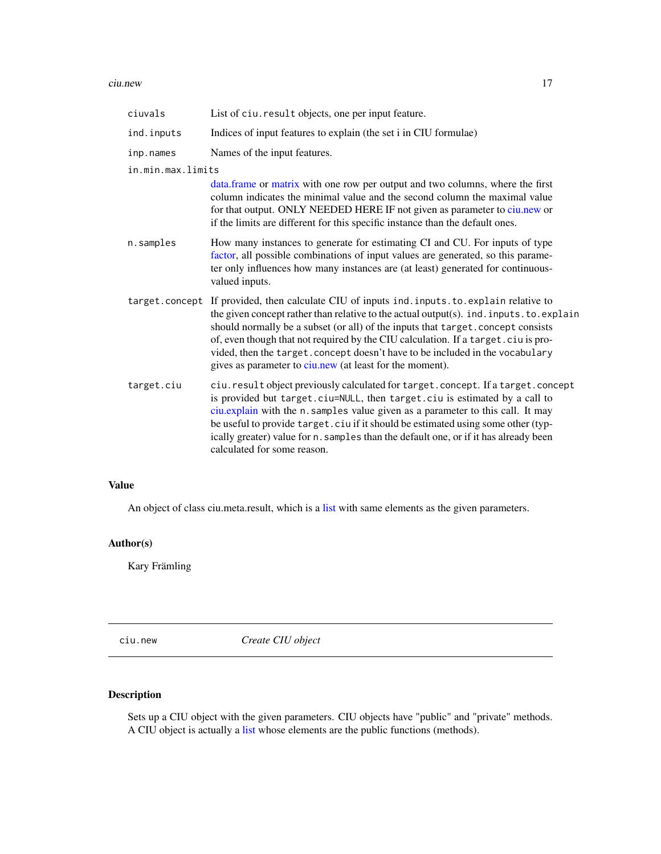#### <span id="page-16-0"></span>ciu.new 17

| ciuvals           | List of ciu. result objects, one per input feature.                                                                                                                                                                                                                                                                                                                                                                                                                                                          |
|-------------------|--------------------------------------------------------------------------------------------------------------------------------------------------------------------------------------------------------------------------------------------------------------------------------------------------------------------------------------------------------------------------------------------------------------------------------------------------------------------------------------------------------------|
| ind.inputs        | Indices of input features to explain (the set i in CIU formulae)                                                                                                                                                                                                                                                                                                                                                                                                                                             |
| inp.names         | Names of the input features.                                                                                                                                                                                                                                                                                                                                                                                                                                                                                 |
| in.min.max.limits |                                                                                                                                                                                                                                                                                                                                                                                                                                                                                                              |
|                   | data.frame or matrix with one row per output and two columns, where the first<br>column indicates the minimal value and the second column the maximal value<br>for that output. ONLY NEEDED HERE IF not given as parameter to ciu.new or<br>if the limits are different for this specific instance than the default ones.                                                                                                                                                                                    |
| n.samples         | How many instances to generate for estimating CI and CU. For inputs of type<br>factor, all possible combinations of input values are generated, so this parame-<br>ter only influences how many instances are (at least) generated for continuous-<br>valued inputs.                                                                                                                                                                                                                                         |
|                   | target.concept If provided, then calculate CIU of inputs ind.inputs.to.explain relative to<br>the given concept rather than relative to the actual output(s). ind. inputs. to. explain<br>should normally be a subset (or all) of the inputs that target. concept consists<br>of, even though that not required by the CIU calculation. If a target.ciu is pro-<br>vided, then the target. concept doesn't have to be included in the vocabulary<br>gives as parameter to ciu.new (at least for the moment). |
| target.ciu        | ciu. result object previously calculated for target. concept. If a target. concept<br>is provided but target.ciu=NULL, then target.ciu is estimated by a call to<br>ciu.explain with the n. samples value given as a parameter to this call. It may<br>be useful to provide target. ciu if it should be estimated using some other (typ-<br>ically greater) value for n. samples than the default one, or if it has already been<br>calculated for some reason.                                              |

## Value

An object of class ciu.meta.result, which is a [list](#page-0-0) with same elements as the given parameters.

## Author(s)

Kary Främling

<span id="page-16-1"></span>ciu.new *Create CIU object*

## Description

Sets up a CIU object with the given parameters. CIU objects have "public" and "private" methods. A CIU object is actually a [list](#page-0-0) whose elements are the public functions (methods).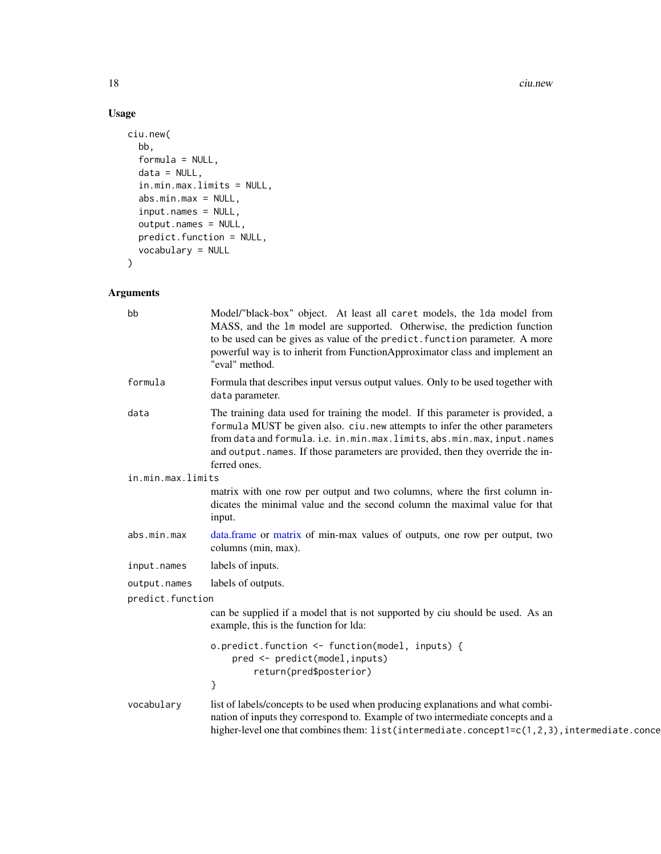18 ciu.new

## Usage

```
ciu.new(
  bb,
  formula = NULL,
  data = NULL,in.min.max.limits = NULL,
  abs.min.max = NULL,
  input.names = NULL,
  output.names = NULL,
  predict.function = NULL,
  vocabulary = NULL
\mathcal{L}
```

| bb                | Model/"black-box" object. At least all caret models, the 1da model from<br>MASS, and the 1m model are supported. Otherwise, the prediction function<br>to be used can be gives as value of the predict. function parameter. A more<br>powerful way is to inherit from FunctionApproximator class and implement an<br>"eval" method.         |
|-------------------|---------------------------------------------------------------------------------------------------------------------------------------------------------------------------------------------------------------------------------------------------------------------------------------------------------------------------------------------|
| formula           | Formula that describes input versus output values. Only to be used together with<br>data parameter.                                                                                                                                                                                                                                         |
| data              | The training data used for training the model. If this parameter is provided, a<br>formula MUST be given also. ciu. new attempts to infer the other parameters<br>from data and formula. i.e. in.min.max.limits, abs.min.max, input.names<br>and output.names. If those parameters are provided, then they override the in-<br>ferred ones. |
| in.min.max.limits |                                                                                                                                                                                                                                                                                                                                             |
|                   | matrix with one row per output and two columns, where the first column in-<br>dicates the minimal value and the second column the maximal value for that<br>input.                                                                                                                                                                          |
| abs.min.max       | data.frame or matrix of min-max values of outputs, one row per output, two<br>columns (min, max).                                                                                                                                                                                                                                           |
| input.names       | labels of inputs.                                                                                                                                                                                                                                                                                                                           |
| output.names      | labels of outputs.                                                                                                                                                                                                                                                                                                                          |
| predict.function  |                                                                                                                                                                                                                                                                                                                                             |
|                   | can be supplied if a model that is not supported by ciu should be used. As an<br>example, this is the function for Ida:                                                                                                                                                                                                                     |
|                   | o.predict.function <- function(model, inputs) {<br>pred <- predict(model, inputs)<br>return(pred\$posterior)                                                                                                                                                                                                                                |
|                   | }                                                                                                                                                                                                                                                                                                                                           |
| vocabulary        | list of labels/concepts to be used when producing explanations and what combi-<br>nation of inputs they correspond to. Example of two intermediate concepts and a<br>higher-level one that combines them: $list(intermediate.concept1=c(1,2,3), intermediate.conce$                                                                         |

<span id="page-17-0"></span>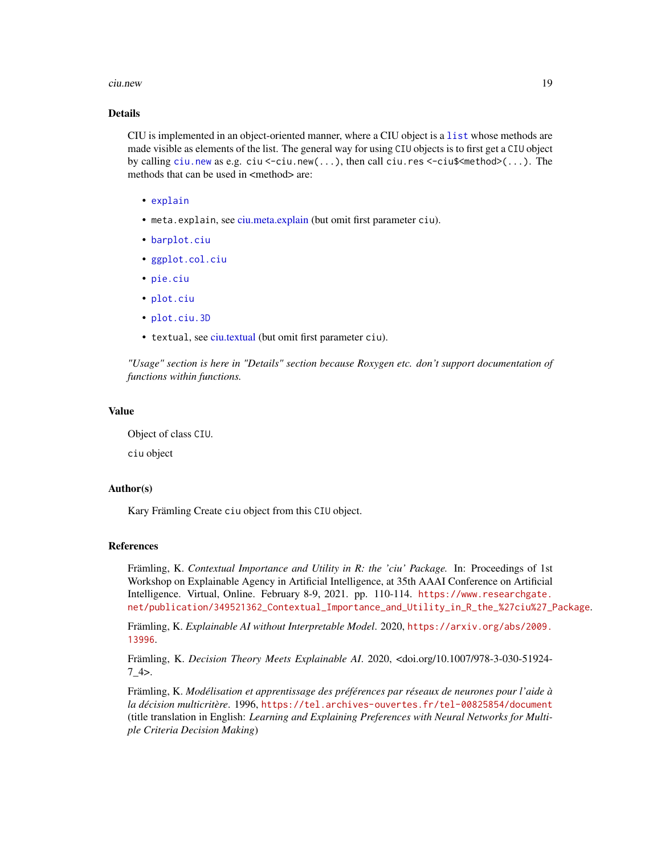#### <span id="page-18-0"></span>ciu.new 19

## Details

CIU is implemented in an object-oriented manner, where a CIU object is a [list](#page-0-0) whose methods are made visible as elements of the list. The general way for using CIU objects is to first get a CIU object by calling [ciu.new](#page-16-1) as e.g. ciu  $\le$ -ciu.new $(\ldots)$ , then call ciu.res  $\le$ -ciu\$ $\le$ method $\ge$  $(\ldots)$ . The methods that can be used in  $\leq$ method $\geq$  are:

- [explain](#page-29-1)
- meta.explain, see [ciu.meta.explain](#page-13-1) (but omit first parameter ciu).
- [barplot.ciu](#page-2-1)
- [ggplot.col.ciu](#page-30-1)
- [pie.ciu](#page-32-1)
- [plot.ciu](#page-33-1)
- [plot.ciu.3D](#page-34-1)
- textual, see [ciu.textual](#page-25-1) (but omit first parameter ciu).

*"Usage" section is here in "Details" section because Roxygen etc. don't support documentation of functions within functions.*

## Value

Object of class CIU.

ciu object

#### Author(s)

Kary Främling Create ciu object from this CIU object.

#### References

Främling, K. *Contextual Importance and Utility in R: the 'ciu' Package.* In: Proceedings of 1st Workshop on Explainable Agency in Artificial Intelligence, at 35th AAAI Conference on Artificial Intelligence. Virtual, Online. February 8-9, 2021. pp. 110-114. [https://www.researchgate.](https://www.researchgate.net/publication/349521362_Contextual_Importance_and_Utility_in_R_the_%27ciu%27_Package) [net/publication/349521362\\_Contextual\\_Importance\\_and\\_Utility\\_in\\_R\\_the\\_%27ciu%27\\_Package](https://www.researchgate.net/publication/349521362_Contextual_Importance_and_Utility_in_R_the_%27ciu%27_Package).

Främling, K. *Explainable AI without Interpretable Model*. 2020, [https://arxiv.org/abs/2009.](https://arxiv.org/abs/2009.13996) [13996](https://arxiv.org/abs/2009.13996).

Främling, K. *Decision Theory Meets Explainable AI*. 2020, <doi.org/10.1007/978-3-030-51924-  $7\,4$ .

Främling, K. *Modélisation et apprentissage des préférences par réseaux de neurones pour l'aide à la décision multicritère*. 1996, <https://tel.archives-ouvertes.fr/tel-00825854/document> (title translation in English: *Learning and Explaining Preferences with Neural Networks for Multiple Criteria Decision Making*)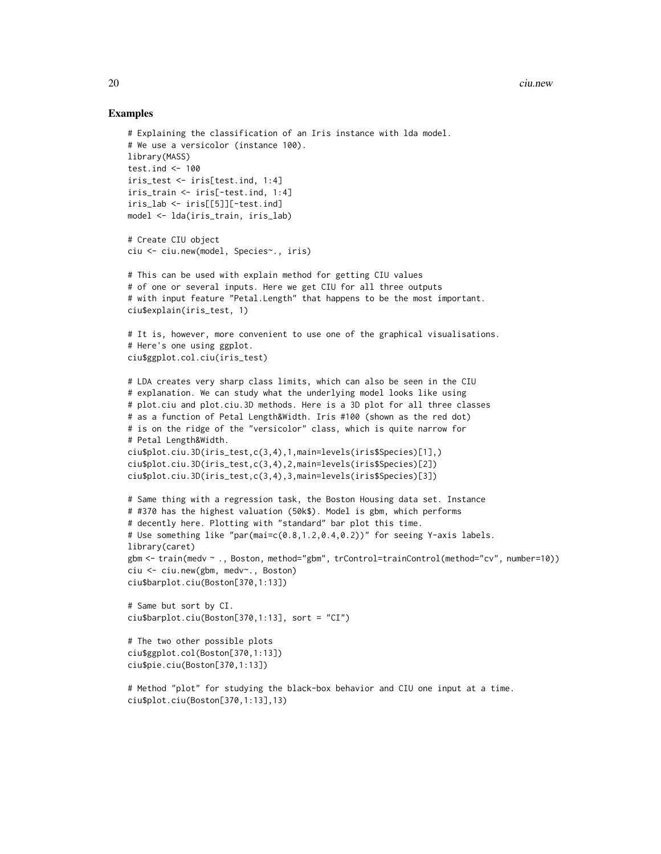#### Examples

```
# Explaining the classification of an Iris instance with lda model.
# We use a versicolor (instance 100).
library(MASS)
test.ind \leq -100iris_test <- iris[test.ind, 1:4]
iris_train <- iris[-test.ind, 1:4]
iris_lab <- iris[[5]][-test.ind]
model <- lda(iris_train, iris_lab)
# Create CIU object
ciu <- ciu.new(model, Species~., iris)
# This can be used with explain method for getting CIU values
# of one or several inputs. Here we get CIU for all three outputs
# with input feature "Petal.Length" that happens to be the most important.
ciu$explain(iris_test, 1)
# It is, however, more convenient to use one of the graphical visualisations.
# Here's one using ggplot.
ciu$ggplot.col.ciu(iris_test)
# LDA creates very sharp class limits, which can also be seen in the CIU
# explanation. We can study what the underlying model looks like using
# plot.ciu and plot.ciu.3D methods. Here is a 3D plot for all three classes
# as a function of Petal Length&Width. Iris #100 (shown as the red dot)
# is on the ridge of the "versicolor" class, which is quite narrow for
# Petal Length&Width.
ciu$plot.ciu.3D(iris_test,c(3,4),1,main=levels(iris$Species)[1],)
ciu$plot.ciu.3D(iris_test,c(3,4),2,main=levels(iris$Species)[2])
ciu$plot.ciu.3D(iris_test,c(3,4),3,main=levels(iris$Species)[3])
# Same thing with a regression task, the Boston Housing data set. Instance
# #370 has the highest valuation (50k$). Model is gbm, which performs
# decently here. Plotting with "standard" bar plot this time.
# Use something like "par(mai=c(0.8,1.2,0.4,0.2))" for seeing Y-axis labels.
library(caret)
gbm <- train(medv ~ ., Boston, method="gbm", trControl=trainControl(method="cv", number=10))
ciu <- ciu.new(gbm, medv~., Boston)
ciu$barplot.ciu(Boston[370,1:13])
# Same but sort by CI.
ciu$barplot.ciu(Boston[370,1:13], sort = "CI")
# The two other possible plots
ciu$ggplot.col(Boston[370,1:13])
ciu$pie.ciu(Boston[370,1:13])
# Method "plot" for studying the black-box behavior and CIU one input at a time.
```
ciu\$plot.ciu(Boston[370,1:13],13)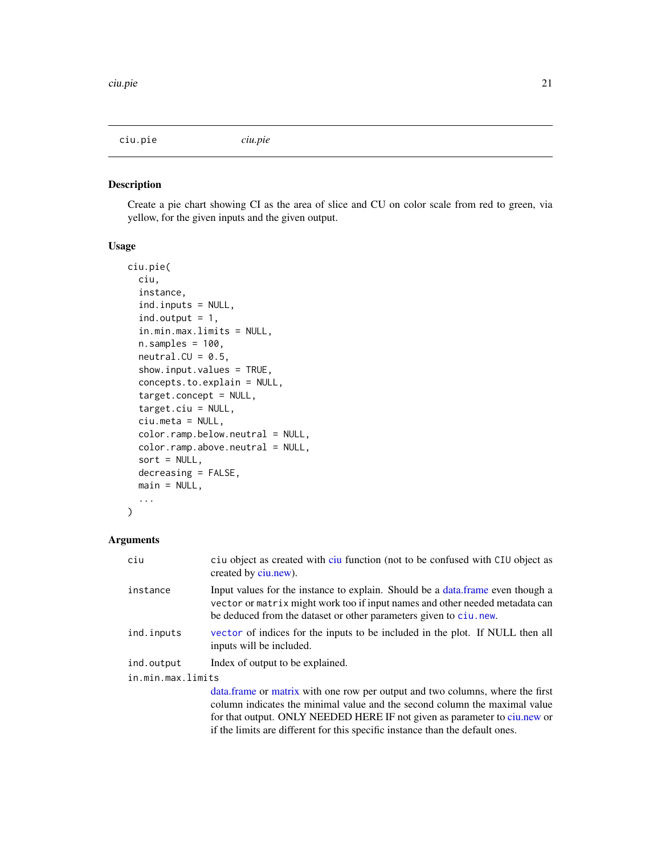<span id="page-20-0"></span>ciu.pie *ciu.pie*

## Description

Create a pie chart showing CI as the area of slice and CU on color scale from red to green, via yellow, for the given inputs and the given output.

#### Usage

```
ciu.pie(
  ciu,
  instance,
  ind.inputs = NULL,
  ind.output = 1,
  in.min.max.limits = NULL,
  n.samples = 100,neutral.CU = 0.5,
  show.input.values = TRUE,
  concepts.to.explain = NULL,
  target.concept = NULL,
  target.ciu = NULL,
  ciu.meta = NULL,
  color.ramp.below.neutral = NULL,
  color.ramp.above.neutral = NULL,
  sort = NULL,decreasing = FALSE,
  main = NULL,...
)
```

| ciu               | ciu object as created with ciu function (not to be confused with CIU object as<br>created by ciu.new).                                                                                                                                                                                                                     |
|-------------------|----------------------------------------------------------------------------------------------------------------------------------------------------------------------------------------------------------------------------------------------------------------------------------------------------------------------------|
| instance          | Input values for the instance to explain. Should be a data frame even though a<br>vector or matrix might work too if input names and other needed metadata can<br>be deduced from the dataset or other parameters given to ciu.new.                                                                                        |
| ind.inputs        | vector of indices for the inputs to be included in the plot. If NULL then all<br>inputs will be included.                                                                                                                                                                                                                  |
| ind.output        | Index of output to be explained.                                                                                                                                                                                                                                                                                           |
| in.min.max.limits |                                                                                                                                                                                                                                                                                                                            |
|                   | data. frame or matrix with one row per output and two columns, where the first<br>column indicates the minimal value and the second column the maximal value<br>for that output. ONLY NEEDED HERE IF not given as parameter to ciu.new or<br>if the limits are different for this specific instance than the default ones. |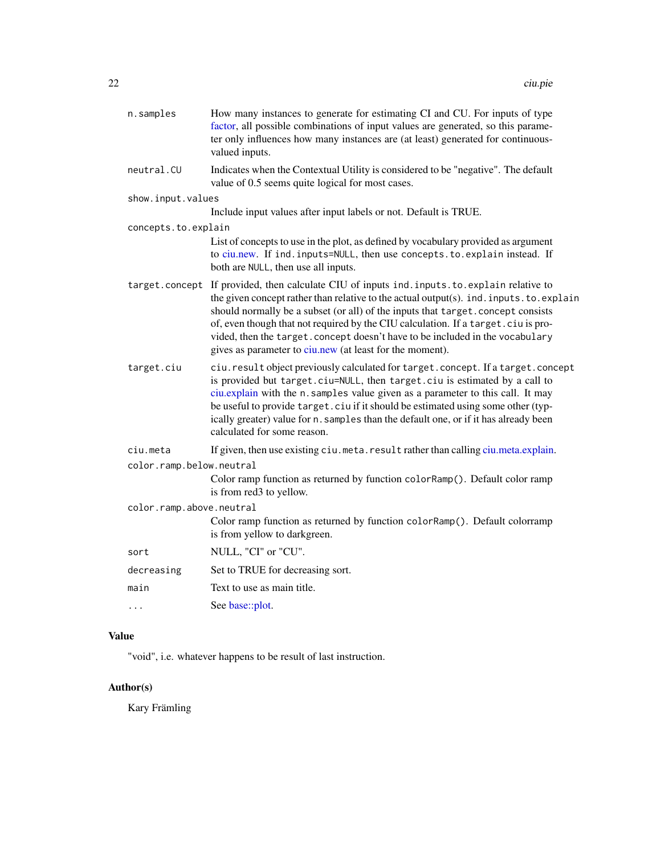<span id="page-21-0"></span>

| n.samples                | How many instances to generate for estimating CI and CU. For inputs of type<br>factor, all possible combinations of input values are generated, so this parame-<br>ter only influences how many instances are (at least) generated for continuous-<br>valued inputs.                                                                                                                                                                                                                                         |
|--------------------------|--------------------------------------------------------------------------------------------------------------------------------------------------------------------------------------------------------------------------------------------------------------------------------------------------------------------------------------------------------------------------------------------------------------------------------------------------------------------------------------------------------------|
| neutral.CU               | Indicates when the Contextual Utility is considered to be "negative". The default<br>value of 0.5 seems quite logical for most cases.                                                                                                                                                                                                                                                                                                                                                                        |
| show.input.values        |                                                                                                                                                                                                                                                                                                                                                                                                                                                                                                              |
|                          | Include input values after input labels or not. Default is TRUE.                                                                                                                                                                                                                                                                                                                                                                                                                                             |
| concepts.to.explain      |                                                                                                                                                                                                                                                                                                                                                                                                                                                                                                              |
|                          | List of concepts to use in the plot, as defined by vocabulary provided as argument<br>to ciu.new. If ind. inputs=NULL, then use concepts. to. explain instead. If<br>both are NULL, then use all inputs.                                                                                                                                                                                                                                                                                                     |
|                          | target.concept If provided, then calculate CIU of inputs ind.inputs.to.explain relative to<br>the given concept rather than relative to the actual output(s). ind. inputs. to. explain<br>should normally be a subset (or all) of the inputs that target. concept consists<br>of, even though that not required by the CIU calculation. If a target.ciu is pro-<br>vided, then the target. concept doesn't have to be included in the vocabulary<br>gives as parameter to ciu.new (at least for the moment). |
| target.ciu               | ciu. result object previously calculated for target. concept. If a target. concept<br>is provided but target.ciu=NULL, then target.ciu is estimated by a call to<br>ciu.explain with the n. samples value given as a parameter to this call. It may<br>be useful to provide target. ciu if it should be estimated using some other (typ-<br>ically greater) value for n. samples than the default one, or if it has already been<br>calculated for some reason.                                              |
| ciu.meta                 | If given, then use existing ciu. meta. result rather than calling ciu.meta.explain.                                                                                                                                                                                                                                                                                                                                                                                                                          |
| color.ramp.below.neutral |                                                                                                                                                                                                                                                                                                                                                                                                                                                                                                              |
|                          | Color ramp function as returned by function colorRamp(). Default color ramp<br>is from red3 to yellow.                                                                                                                                                                                                                                                                                                                                                                                                       |
| color.ramp.above.neutral |                                                                                                                                                                                                                                                                                                                                                                                                                                                                                                              |
|                          | Color ramp function as returned by function colorRamp(). Default colorramp<br>is from yellow to darkgreen.                                                                                                                                                                                                                                                                                                                                                                                                   |
| sort                     | NULL, "CI" or "CU".                                                                                                                                                                                                                                                                                                                                                                                                                                                                                          |
| decreasing               | Set to TRUE for decreasing sort.                                                                                                                                                                                                                                                                                                                                                                                                                                                                             |
| main                     | Text to use as main title.                                                                                                                                                                                                                                                                                                                                                                                                                                                                                   |
| .                        | See base::plot.                                                                                                                                                                                                                                                                                                                                                                                                                                                                                              |
|                          |                                                                                                                                                                                                                                                                                                                                                                                                                                                                                                              |

## Value

"void", i.e. whatever happens to be result of last instruction.

## Author(s)

Kary Främling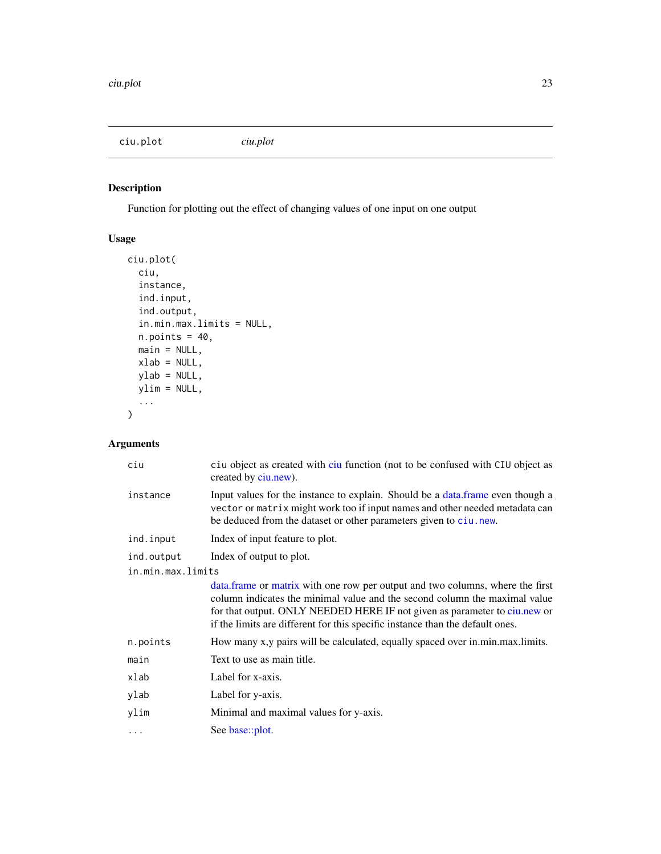<span id="page-22-0"></span>ciu.plot *ciu.plot*

## Description

Function for plotting out the effect of changing values of one input on one output

## Usage

```
ciu.plot(
  ciu,
  instance,
  ind.input,
  ind.output,
  in.min.max.limits = NULL,
  n.points = 40,main = NULL,
  xlab = NULL,ylab = NULL,
  ylim = NULL,
  ...
\mathcal{L}
```

| ciu               | ciu object as created with ciu function (not to be confused with CIU object as<br>created by ciu.new).                                                                                                                                                                                                                     |
|-------------------|----------------------------------------------------------------------------------------------------------------------------------------------------------------------------------------------------------------------------------------------------------------------------------------------------------------------------|
| instance          | Input values for the instance to explain. Should be a data frame even though a<br>vector or matrix might work too if input names and other needed metadata can<br>be deduced from the dataset or other parameters given to ciu. new.                                                                                       |
| ind.input         | Index of input feature to plot.                                                                                                                                                                                                                                                                                            |
| ind.output        | Index of output to plot.                                                                                                                                                                                                                                                                                                   |
| in.min.max.limits |                                                                                                                                                                                                                                                                                                                            |
|                   | data. frame or matrix with one row per output and two columns, where the first<br>column indicates the minimal value and the second column the maximal value<br>for that output. ONLY NEEDED HERE IF not given as parameter to ciu.new or<br>if the limits are different for this specific instance than the default ones. |
| n.points          | How many x,y pairs will be calculated, equally spaced over in.min.max.limits.                                                                                                                                                                                                                                              |
| main              | Text to use as main title.                                                                                                                                                                                                                                                                                                 |
| xlab              | Label for x-axis.                                                                                                                                                                                                                                                                                                          |
| ylab              | Label for y-axis.                                                                                                                                                                                                                                                                                                          |
| ylim              | Minimal and maximal values for y-axis.                                                                                                                                                                                                                                                                                     |
| .                 | See base::plot.                                                                                                                                                                                                                                                                                                            |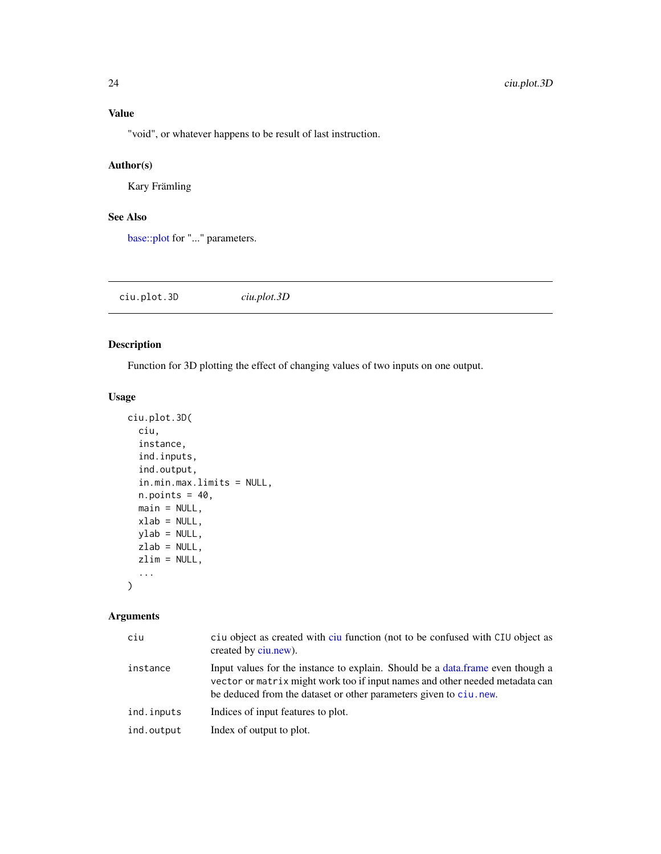<span id="page-23-0"></span>"void", or whatever happens to be result of last instruction.

## Author(s)

Kary Främling

## See Also

[base::plot](#page-0-0) for "..." parameters.

| ciu.plot.3D | ciu.plot.3D |  |  |
|-------------|-------------|--|--|
|-------------|-------------|--|--|

## Description

Function for 3D plotting the effect of changing values of two inputs on one output.

## Usage

```
ciu.plot.3D(
  ciu,
  instance,
  ind.inputs,
  ind.output,
  in.min.max.limits = NULL,
  n.points = 40,
  main = NULL,xlab = NULL,
  ylab = NULL,
  zlab = NULL,zlim = NULL,
  ...
\mathcal{L}
```

| ciu        | ciu object as created with ciu function (not to be confused with CIU object as<br>created by ciu.new).                                                                                                                               |
|------------|--------------------------------------------------------------------------------------------------------------------------------------------------------------------------------------------------------------------------------------|
| instance   | Input values for the instance to explain. Should be a data frame even though a<br>vector or matrix might work too if input names and other needed metadata can<br>be deduced from the dataset or other parameters given to ciu, new. |
| ind.inputs | Indices of input features to plot.                                                                                                                                                                                                   |
| ind.output | Index of output to plot.                                                                                                                                                                                                             |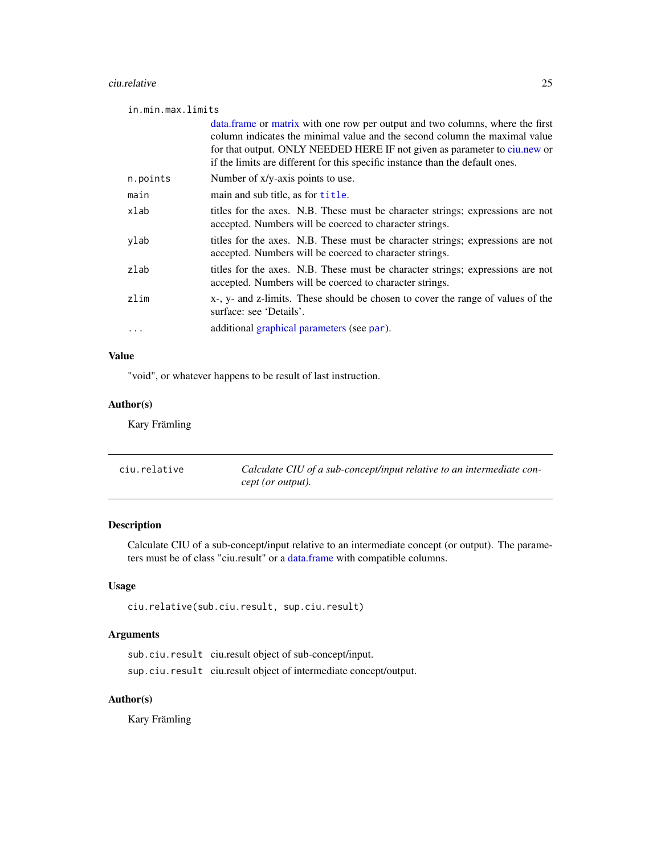#### <span id="page-24-0"></span>ciu.relative 25

in.min.max.limits

|          | data. frame or matrix with one row per output and two columns, where the first<br>column indicates the minimal value and the second column the maximal value<br>for that output. ONLY NEEDED HERE IF not given as parameter to ciu.new or<br>if the limits are different for this specific instance than the default ones. |
|----------|----------------------------------------------------------------------------------------------------------------------------------------------------------------------------------------------------------------------------------------------------------------------------------------------------------------------------|
| n.points | Number of x/y-axis points to use.                                                                                                                                                                                                                                                                                          |
| main     | main and sub title, as for title.                                                                                                                                                                                                                                                                                          |
| xlab     | titles for the axes. N.B. These must be character strings; expressions are not<br>accepted. Numbers will be coerced to character strings.                                                                                                                                                                                  |
| ylab     | titles for the axes. N.B. These must be character strings; expressions are not<br>accepted. Numbers will be coerced to character strings.                                                                                                                                                                                  |
| zlab     | titles for the axes. N.B. These must be character strings; expressions are not<br>accepted. Numbers will be coerced to character strings.                                                                                                                                                                                  |
| zlim     | x-, y- and z-limits. These should be chosen to cover the range of values of the<br>surface: see 'Details'.                                                                                                                                                                                                                 |
|          | additional graphical parameters (see par).                                                                                                                                                                                                                                                                                 |
|          |                                                                                                                                                                                                                                                                                                                            |

## Value

"void", or whatever happens to be result of last instruction.

## Author(s)

Kary Främling

| ciu.relative | Calculate CIU of a sub-concept/input relative to an intermediate con- |
|--------------|-----------------------------------------------------------------------|
|              | cept (or output).                                                     |

## Description

Calculate CIU of a sub-concept/input relative to an intermediate concept (or output). The parameters must be of class "ciu.result" or a [data.frame](#page-0-0) with compatible columns.

## Usage

```
ciu.relative(sub.ciu.result, sup.ciu.result)
```
## Arguments

sub.ciu.result ciu.result object of sub-concept/input. sup.ciu.result ciu.result object of intermediate concept/output.

## Author(s)

Kary Främling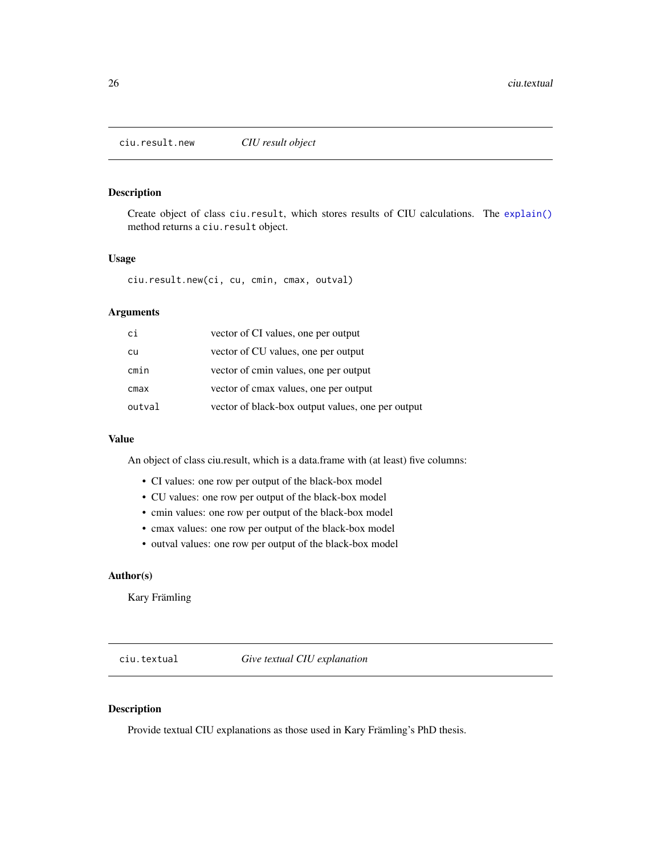<span id="page-25-2"></span><span id="page-25-0"></span>ciu.result.new *CIU result object*

#### Description

Create object of class ciu.result, which stores results of CIU calculations. The [explain\(\)](#page-29-1) method returns a ciu.result object.

#### Usage

ciu.result.new(ci, cu, cmin, cmax, outval)

## Arguments

| ci     | vector of CI values, one per output               |
|--------|---------------------------------------------------|
| cu     | vector of CU values, one per output               |
| cmin   | vector of cmin values, one per output             |
| cmax   | vector of cmax values, one per output             |
| outval | vector of black-box output values, one per output |

## Value

An object of class ciu.result, which is a data.frame with (at least) five columns:

- CI values: one row per output of the black-box model
- CU values: one row per output of the black-box model
- cmin values: one row per output of the black-box model
- cmax values: one row per output of the black-box model
- outval values: one row per output of the black-box model

## Author(s)

Kary Främling

<span id="page-25-1"></span>ciu.textual *Give textual CIU explanation*

#### Description

Provide textual CIU explanations as those used in Kary Främling's PhD thesis.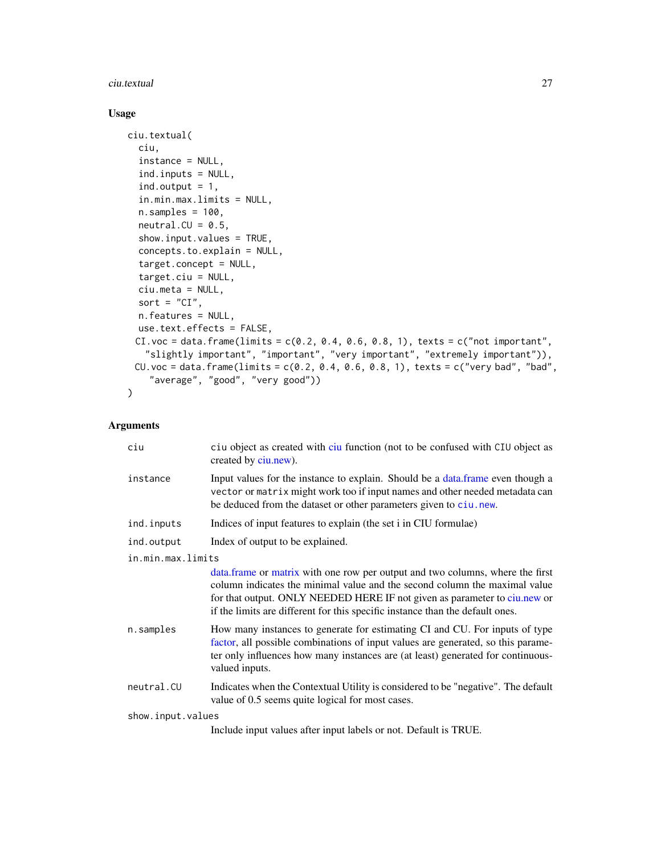#### <span id="page-26-0"></span>ciu.textual 27

## Usage

```
ciu.textual(
  ciu,
  instance = NULL,
  ind.inputs = NULL,
  ind.output = 1,
  in.min.max.limits = NULL,
  n.samples = 100,neutral.CU = 0.5,
  show.input.values = TRUE,
  concepts.to.explain = NULL,
  target.concept = NULL,
  target.ciu = NULL,
  ciu.meta = NULL,
  sort = "CI",n.features = NULL,
  use.text.effects = FALSE,
 CI.voc = data.frame(limits = c(0.2, 0.4, 0.6, 0.8, 1), texts = c("not important","slightly important", "important", "very important", "extremely important")),
 CU.voc = data.frame(limits = c(0.2, 0.4, 0.6, 0.8, 1), texts = c("very bad", "bad","average", "good", "very good"))
\mathcal{L}
```

| ciu               | ciu object as created with ciu function (not to be confused with CIU object as<br>created by ciu.new).                                                                                                                                                                                                                    |  |
|-------------------|---------------------------------------------------------------------------------------------------------------------------------------------------------------------------------------------------------------------------------------------------------------------------------------------------------------------------|--|
| instance          | Input values for the instance to explain. Should be a data.frame even though a<br>vector or matrix might work too if input names and other needed metadata can<br>be deduced from the dataset or other parameters given to ciu.new.                                                                                       |  |
| ind.inputs        | Indices of input features to explain (the set i in CIU formulae)                                                                                                                                                                                                                                                          |  |
| ind.output        | Index of output to be explained.                                                                                                                                                                                                                                                                                          |  |
| in.min.max.limits |                                                                                                                                                                                                                                                                                                                           |  |
|                   | data.frame or matrix with one row per output and two columns, where the first<br>column indicates the minimal value and the second column the maximal value<br>for that output. ONLY NEEDED HERE IF not given as parameter to ciu.new or<br>if the limits are different for this specific instance than the default ones. |  |
| n.samples         | How many instances to generate for estimating CI and CU. For inputs of type<br>factor, all possible combinations of input values are generated, so this parame-<br>ter only influences how many instances are (at least) generated for continuous-<br>valued inputs.                                                      |  |
| neutral.CU        | Indicates when the Contextual Utility is considered to be "negative". The default<br>value of 0.5 seems quite logical for most cases.                                                                                                                                                                                     |  |
| show.input.values |                                                                                                                                                                                                                                                                                                                           |  |
|                   | Include input values after input labels or not. Default is TRUE.                                                                                                                                                                                                                                                          |  |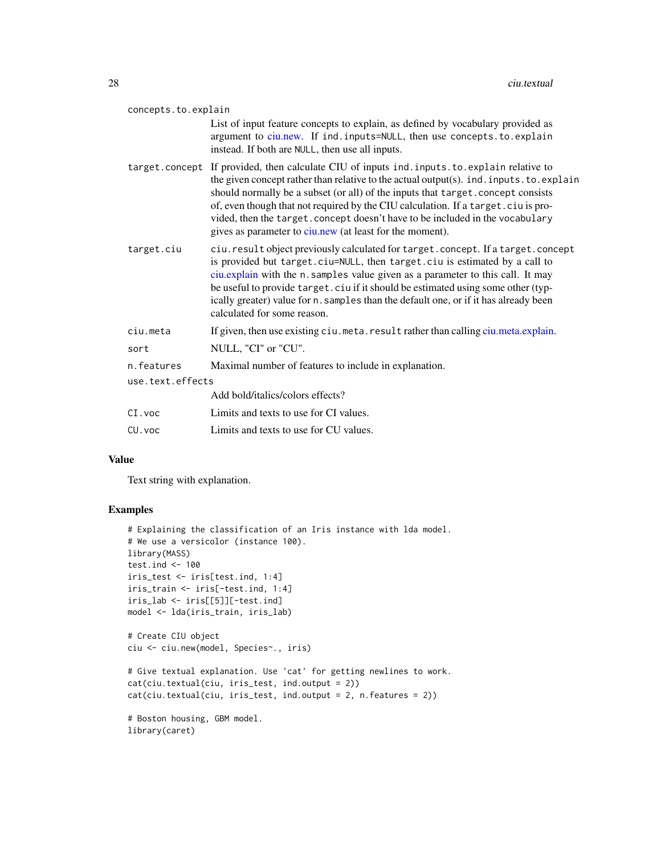<span id="page-27-0"></span>

| concepts.to.explain |                                                                                                                                                                                                                                                                                                                                                                                                                                                                                                              |  |
|---------------------|--------------------------------------------------------------------------------------------------------------------------------------------------------------------------------------------------------------------------------------------------------------------------------------------------------------------------------------------------------------------------------------------------------------------------------------------------------------------------------------------------------------|--|
|                     | List of input feature concepts to explain, as defined by vocabulary provided as<br>argument to ciu.new. If ind.inputs=NULL, then use concepts.to.explain<br>instead. If both are NULL, then use all inputs.                                                                                                                                                                                                                                                                                                  |  |
|                     | target.concept If provided, then calculate CIU of inputs ind.inputs.to.explain relative to<br>the given concept rather than relative to the actual output(s). ind. inputs. to. explain<br>should normally be a subset (or all) of the inputs that target. concept consists<br>of, even though that not required by the CIU calculation. If a target.ciu is pro-<br>vided, then the target. concept doesn't have to be included in the vocabulary<br>gives as parameter to ciu.new (at least for the moment). |  |
| target.ciu          | ciu. result object previously calculated for target. concept. If a target. concept<br>is provided but target.ciu=NULL, then target.ciu is estimated by a call to<br>ciu.explain with the n. samples value given as a parameter to this call. It may<br>be useful to provide target. ciu if it should be estimated using some other (typ-<br>ically greater) value for n. samples than the default one, or if it has already been<br>calculated for some reason.                                              |  |
| ciu.meta            | If given, then use existing ciu. meta. result rather than calling ciu.meta.explain.                                                                                                                                                                                                                                                                                                                                                                                                                          |  |
| sort                | NULL, "CI" or "CU".                                                                                                                                                                                                                                                                                                                                                                                                                                                                                          |  |
| n.features          | Maximal number of features to include in explanation.                                                                                                                                                                                                                                                                                                                                                                                                                                                        |  |
| use.text.effects    |                                                                                                                                                                                                                                                                                                                                                                                                                                                                                                              |  |
|                     | Add bold/italics/colors effects?                                                                                                                                                                                                                                                                                                                                                                                                                                                                             |  |
| $CI$ . $VOC$        | Limits and texts to use for CI values.                                                                                                                                                                                                                                                                                                                                                                                                                                                                       |  |
| CU. voc             | Limits and texts to use for CU values.                                                                                                                                                                                                                                                                                                                                                                                                                                                                       |  |

#### Value

Text string with explanation.

## Examples

```
# Explaining the classification of an Iris instance with lda model.
# We use a versicolor (instance 100).
library(MASS)
test.ind <- 100
iris_test <- iris[test.ind, 1:4]
iris_train <- iris[-test.ind, 1:4]
iris_lab <- iris[[5]][-test.ind]
model <- lda(iris_train, iris_lab)
# Create CIU object
ciu <- ciu.new(model, Species~., iris)
# Give textual explanation. Use 'cat' for getting newlines to work.
cat(ciu.textual(ciu, iris_test, ind.output = 2))
cat(ciu.textual(ciu, iris_test, ind.output = 2, n.features = 2))
# Boston housing, GBM model.
library(caret)
```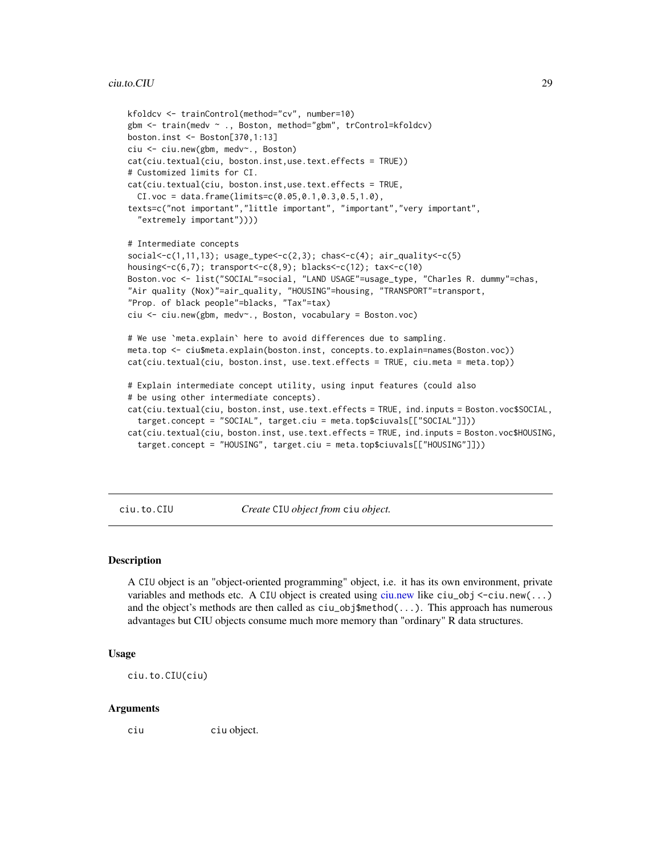```
kfoldcv <- trainControl(method="cv", number=10)
gbm <- train(medv ~ ., Boston, method="gbm", trControl=kfoldcv)
boston.inst <- Boston[370,1:13]
ciu <- ciu.new(gbm, medv~., Boston)
cat(ciu.textual(ciu, boston.inst,use.text.effects = TRUE))
# Customized limits for CI.
cat(ciu.textual(ciu, boston.inst,use.text.effects = TRUE,
  CI. voc = data. frame(limits=0.05, 0.1, 0.3, 0.5, 1.0),texts=c("not important","little important", "important","very important",
  "extremely important"))))
# Intermediate concepts
social < c(1, 11, 13); usage_type<< c(2, 3); chas<< c(4); air_quality<< c(5)housing<-c(6,7); transport<-c(8,9); blacks<-c(12); tax<-c(10)
Boston.voc <- list("SOCIAL"=social, "LAND USAGE"=usage_type, "Charles R. dummy"=chas,
"Air quality (Nox)"=air_quality, "HOUSING"=housing, "TRANSPORT"=transport,
"Prop. of black people"=blacks, "Tax"=tax)
ciu <- ciu.new(gbm, medv~., Boston, vocabulary = Boston.voc)
# We use `meta.explain` here to avoid differences due to sampling.
meta.top <- ciu$meta.explain(boston.inst, concepts.to.explain=names(Boston.voc))
cat(ciu.textual(ciu, boston.inst, use.text.effects = TRUE, ciu.meta = meta.top))
# Explain intermediate concept utility, using input features (could also
# be using other intermediate concepts).
cat(ciu.textual(ciu, boston.inst, use.text.effects = TRUE, ind.inputs = Boston.voc$SOCIAL,
  target.concept = "SOCIAL", target.ciu = meta.top$ciuvals[["SOCIAL"]]))
cat(ciu.textual(ciu, boston.inst, use.text.effects = TRUE, ind.inputs = Boston.voc$HOUSING,
  target.concept = "HOUSING", target.ciu = meta.top$ciuvals[["HOUSING"]]))
```
<span id="page-28-1"></span>ciu.to.CIU *Create* CIU *object from* ciu *object.*

#### **Description**

A CIU object is an "object-oriented programming" object, i.e. it has its own environment, private variables and methods etc. A CIU object is created using [ciu.new](#page-16-1) like  $ciu<sub>-</sub>obj < -ciu.new(...)$ and the object's methods are then called as ciu\_obj\$method(...). This approach has numerous advantages but CIU objects consume much more memory than "ordinary" R data structures.

#### Usage

ciu.to.CIU(ciu)

#### Arguments

ciu ciu object.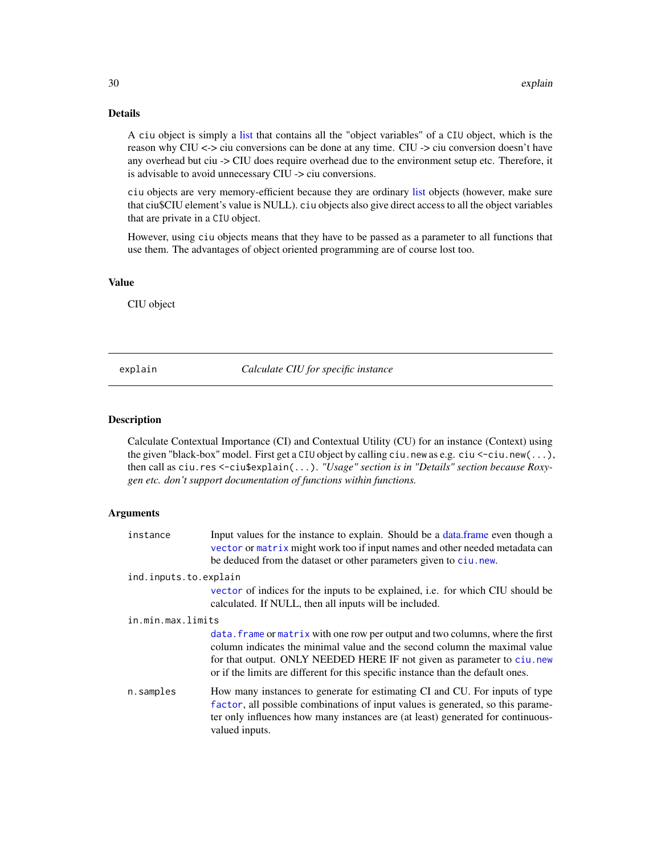## <span id="page-29-0"></span>Details

A ciu object is simply a [list](#page-0-0) that contains all the "object variables" of a CIU object, which is the reason why CIU <-> ciu conversions can be done at any time. CIU -> ciu conversion doesn't have any overhead but ciu -> CIU does require overhead due to the environment setup etc. Therefore, it is advisable to avoid unnecessary CIU -> ciu conversions.

ciu objects are very memory-efficient because they are ordinary [list](#page-0-0) objects (however, make sure that ciu\$CIU element's value is NULL). ciu objects also give direct access to all the object variables that are private in a CIU object.

However, using ciu objects means that they have to be passed as a parameter to all functions that use them. The advantages of object oriented programming are of course lost too.

## Value

CIU object

<span id="page-29-1"></span>explain *Calculate CIU for specific instance*

#### Description

Calculate Contextual Importance (CI) and Contextual Utility (CU) for an instance (Context) using the given "black-box" model. First get a CIU object by calling ciu.new as e.g. ciu  $\le$ -ciu.new $(\ldots)$ , then call as ciu.res <-ciu\$explain(...). *"Usage" section is in "Details" section because Roxygen etc. don't support documentation of functions within functions.*

| instance              | Input values for the instance to explain. Should be a data frame even though a<br>vector or matrix might work too if input names and other needed metadata can<br>be deduced from the dataset or other parameters given to ciu.new.                                                                                        |  |
|-----------------------|----------------------------------------------------------------------------------------------------------------------------------------------------------------------------------------------------------------------------------------------------------------------------------------------------------------------------|--|
| ind.inputs.to.explain |                                                                                                                                                                                                                                                                                                                            |  |
|                       | vector of indices for the inputs to be explained, <i>i.e.</i> for which CIU should be<br>calculated. If NULL, then all inputs will be included.                                                                                                                                                                            |  |
| in.min.max.limits     |                                                                                                                                                                                                                                                                                                                            |  |
|                       | data. Frame or matrix with one row per output and two columns, where the first<br>column indicates the minimal value and the second column the maximal value<br>for that output. ONLY NEEDED HERE IF not given as parameter to ciu.new<br>or if the limits are different for this specific instance than the default ones. |  |
| n.samples             | How many instances to generate for estimating CI and CU. For inputs of type<br>factor, all possible combinations of input values is generated, so this parame-<br>ter only influences how many instances are (at least) generated for continuous-<br>valued inputs.                                                        |  |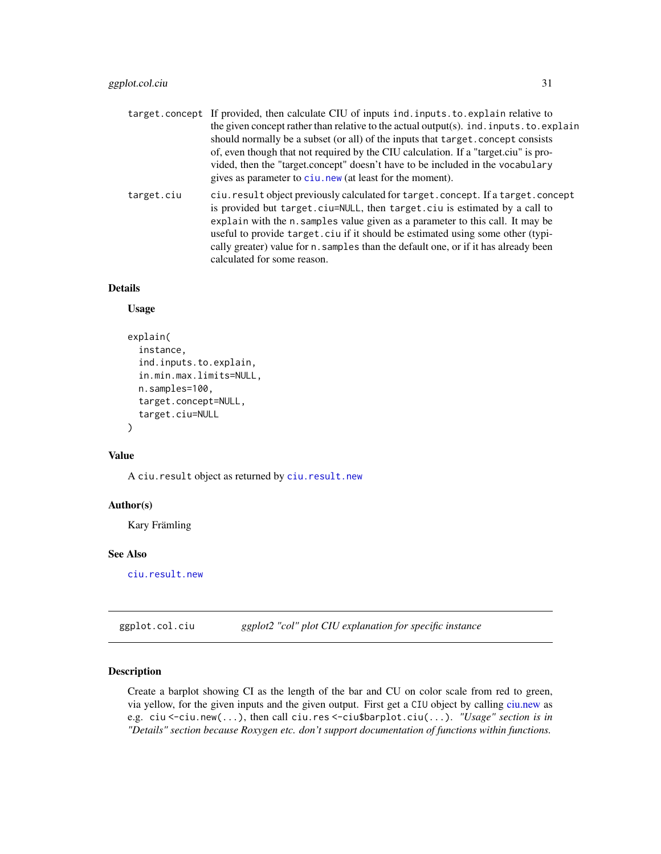<span id="page-30-0"></span>target.concept If provided, then calculate CIU of inputs ind.inputs.to.explain relative to the given concept rather than relative to the actual output(s). ind.inputs.to.explain should normally be a subset (or all) of the inputs that target.concept consists of, even though that not required by the CIU calculation. If a "target.ciu" is provided, then the "target.concept" doesn't have to be included in the vocabulary gives as parameter to [ciu.new](#page-16-1) (at least for the moment). target.ciu ciu.result object previously calculated for target.concept. If a target.concept is provided but target.ciu=NULL, then target.ciu is estimated by a call to explain with the n.samples value given as a parameter to this call. It may be useful to provide target.ciu if it should be estimated using some other (typically greater) value for n.samples than the default one, or if it has already been calculated for some reason.

#### Details

### Usage

```
explain(
  instance,
  ind.inputs.to.explain,
  in.min.max.limits=NULL,
  n.samples=100,
  target.concept=NULL,
  target.ciu=NULL
\mathcal{L}
```
#### Value

A ciu.result object as returned by [ciu.result.new](#page-25-2)

#### Author(s)

Kary Främling

#### See Also

[ciu.result.new](#page-25-2)

<span id="page-30-1"></span>ggplot.col.ciu *ggplot2 "col" plot CIU explanation for specific instance*

#### Description

Create a barplot showing CI as the length of the bar and CU on color scale from red to green, via yellow, for the given inputs and the given output. First get a CIU object by calling [ciu.new](#page-16-1) as e.g. ciu <-ciu.new(...), then call ciu.res <-ciu\$barplot.ciu(...). *"Usage" section is in "Details" section because Roxygen etc. don't support documentation of functions within functions.*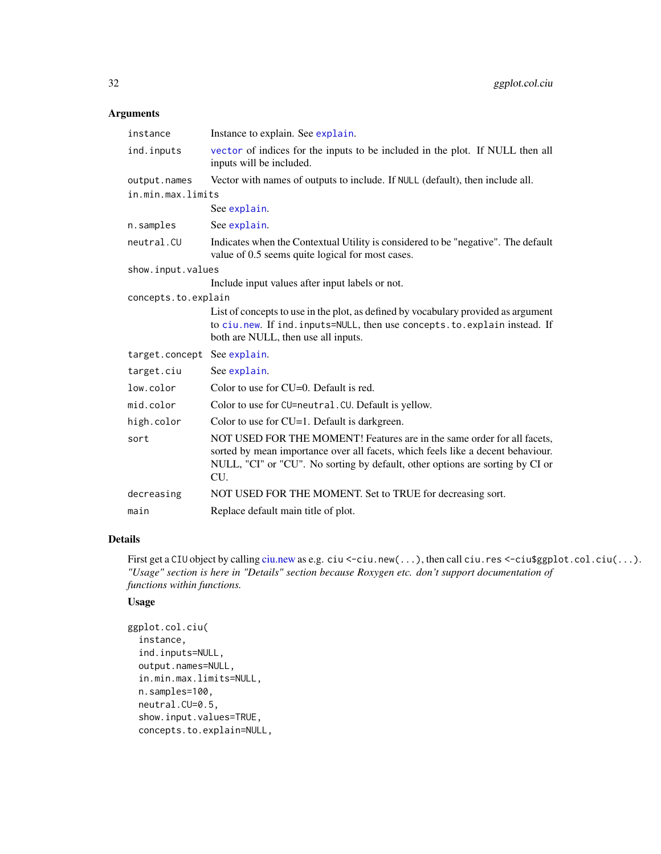## <span id="page-31-0"></span>Arguments

| instance                    | Instance to explain. See explain.                                                                                                                                                                                                                  |  |
|-----------------------------|----------------------------------------------------------------------------------------------------------------------------------------------------------------------------------------------------------------------------------------------------|--|
| ind.inputs                  | vector of indices for the inputs to be included in the plot. If NULL then all<br>inputs will be included.                                                                                                                                          |  |
| output.names                | Vector with names of outputs to include. If NULL (default), then include all.                                                                                                                                                                      |  |
| in.min.max.limits           |                                                                                                                                                                                                                                                    |  |
|                             | See explain.                                                                                                                                                                                                                                       |  |
| n.samples                   | See explain.                                                                                                                                                                                                                                       |  |
| neutral.CU                  | Indicates when the Contextual Utility is considered to be "negative". The default<br>value of 0.5 seems quite logical for most cases.                                                                                                              |  |
| show.input.values           |                                                                                                                                                                                                                                                    |  |
|                             | Include input values after input labels or not.                                                                                                                                                                                                    |  |
| concepts.to.explain         |                                                                                                                                                                                                                                                    |  |
|                             | List of concepts to use in the plot, as defined by vocabulary provided as argument<br>to ciu.new. If ind.inputs=NULL, then use concepts.to.explain instead. If<br>both are NULL, then use all inputs.                                              |  |
| target.concept See explain. |                                                                                                                                                                                                                                                    |  |
| target.ciu                  | See explain.                                                                                                                                                                                                                                       |  |
| low.color                   | Color to use for $CU=0$ . Default is red.                                                                                                                                                                                                          |  |
| mid.color                   | Color to use for CU=neutral. CU. Default is yellow.                                                                                                                                                                                                |  |
| high.color                  | Color to use for $CU=1$ . Default is darkgreen.                                                                                                                                                                                                    |  |
| sort                        | NOT USED FOR THE MOMENT! Features are in the same order for all facets,<br>sorted by mean importance over all facets, which feels like a decent behaviour.<br>NULL, "CI" or "CU". No sorting by default, other options are sorting by CI or<br>CU. |  |
| decreasing                  | NOT USED FOR THE MOMENT. Set to TRUE for decreasing sort.                                                                                                                                                                                          |  |
| main                        | Replace default main title of plot.                                                                                                                                                                                                                |  |
|                             |                                                                                                                                                                                                                                                    |  |

## Details

First get a CIU object by calling [ciu.new](#page-16-1) as e.g. ciu <- ciu.new(...), then call ciu.res <- ciu\$ggplot.col.ciu(...). *"Usage" section is here in "Details" section because Roxygen etc. don't support documentation of functions within functions.*

## Usage

```
ggplot.col.ciu(
 instance,
 ind.inputs=NULL,
 output.names=NULL,
 in.min.max.limits=NULL,
 n.samples=100,
 neutral.CU=0.5,
  show.input.values=TRUE,
 concepts.to.explain=NULL,
```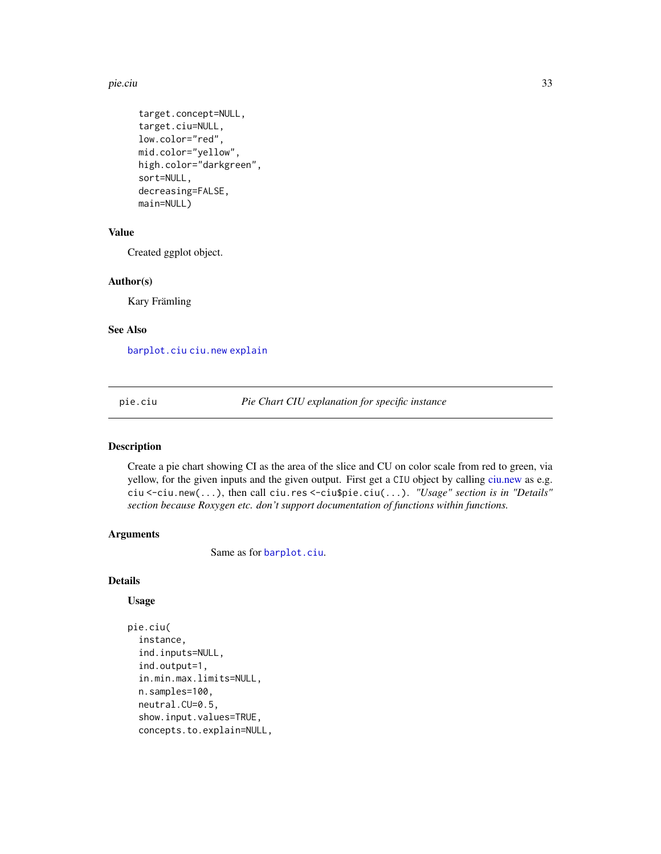#### <span id="page-32-0"></span>pie.ciu 33

```
target.concept=NULL,
target.ciu=NULL,
low.color="red",
mid.color="yellow",
high.color="darkgreen",
sort=NULL,
decreasing=FALSE,
main=NULL)
```
## Value

Created ggplot object.

#### Author(s)

Kary Främling

#### See Also

[barplot.ciu](#page-2-1) [ciu.new](#page-16-1) [explain](#page-29-1)

<span id="page-32-1"></span>pie.ciu *Pie Chart CIU explanation for specific instance*

#### Description

Create a pie chart showing CI as the area of the slice and CU on color scale from red to green, via yellow, for the given inputs and the given output. First get a CIU object by calling [ciu.new](#page-16-1) as e.g. ciu <-ciu.new(...), then call ciu.res <-ciu\$pie.ciu(...). *"Usage" section is in "Details" section because Roxygen etc. don't support documentation of functions within functions.*

#### Arguments

Same as for [barplot.ciu](#page-2-1).

#### Details

#### Usage

```
pie.ciu(
  instance,
  ind.inputs=NULL,
  ind.output=1,
  in.min.max.limits=NULL,
  n.samples=100,
  neutral.CU=0.5,
  show.input.values=TRUE,
  concepts.to.explain=NULL,
```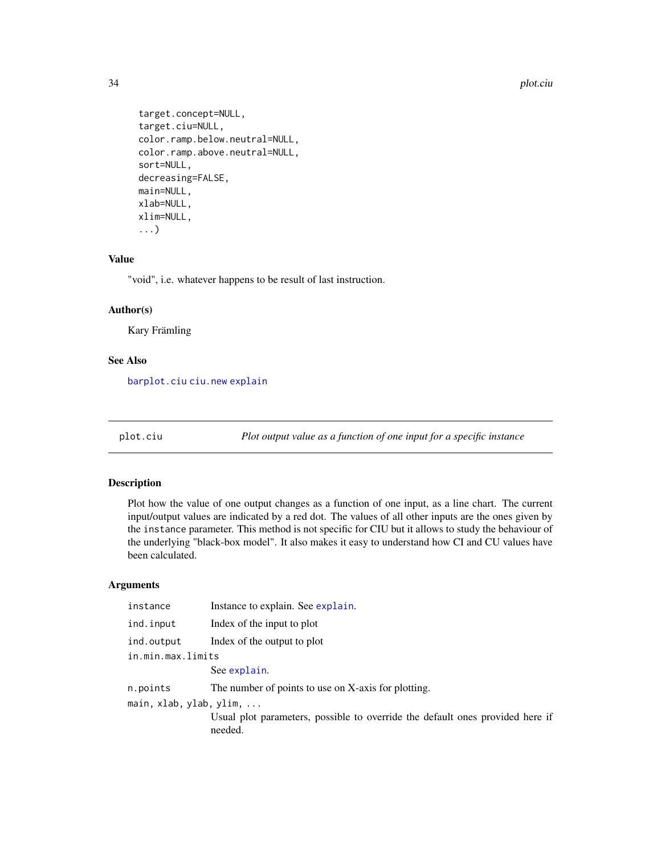```
target.concept=NULL,
target.ciu=NULL,
color.ramp.below.neutral=NULL,
color.ramp.above.neutral=NULL,
sort=NULL,
decreasing=FALSE,
main=NULL,
xlab=NULL,
xlim=NULL,
...)
```
#### Value

"void", i.e. whatever happens to be result of last instruction.

#### Author(s)

Kary Främling

#### See Also

[barplot.ciu](#page-2-1) [ciu.new](#page-16-1) [explain](#page-29-1)

<span id="page-33-1"></span>plot.ciu *Plot output value as a function of one input for a specific instance*

#### Description

Plot how the value of one output changes as a function of one input, as a line chart. The current input/output values are indicated by a red dot. The values of all other inputs are the ones given by the instance parameter. This method is not specific for CIU but it allows to study the behaviour of the underlying "black-box model". It also makes it easy to understand how CI and CU values have been calculated.

| instance                | Instance to explain. See explain.                                                        |  |
|-------------------------|------------------------------------------------------------------------------------------|--|
| ind.input               | Index of the input to plot                                                               |  |
| ind.output              | Index of the output to plot                                                              |  |
| in.min.max.limits       |                                                                                          |  |
|                         | See explain.                                                                             |  |
| n.points                | The number of points to use on X-axis for plotting.                                      |  |
| main, xlab, ylab, ylim, |                                                                                          |  |
|                         | Usual plot parameters, possible to override the default ones provided here if<br>needed. |  |
|                         |                                                                                          |  |

<span id="page-33-0"></span>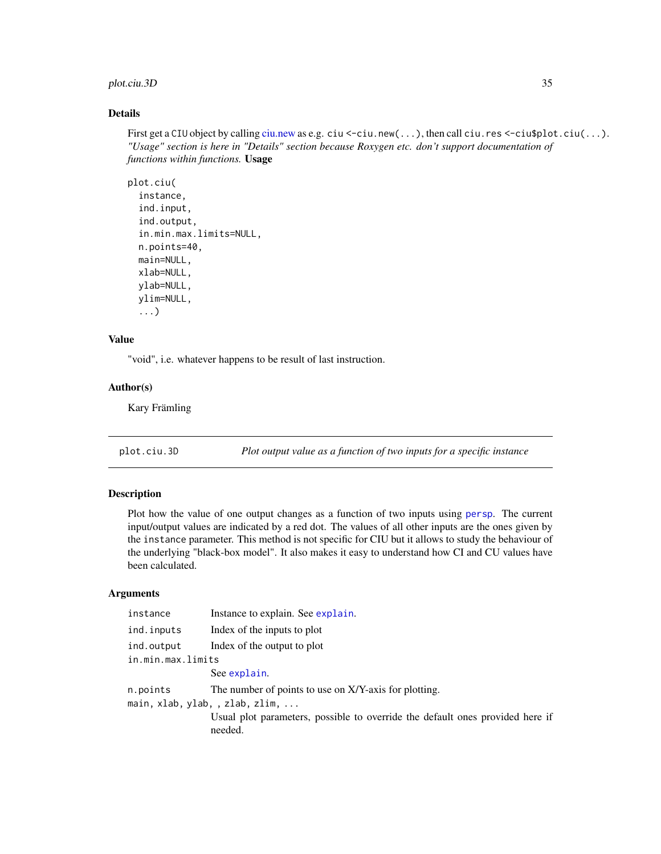## <span id="page-34-0"></span>plot.ciu.3D 35

## Details

First get a CIU object by calling [ciu.new](#page-16-1) as e.g. ciu <-ciu.new(...), then call ciu.res <-ciu\$plot.ciu(...). *"Usage" section is here in "Details" section because Roxygen etc. don't support documentation of functions within functions.* Usage

```
plot.ciu(
  instance,
  ind.input,
  ind.output,
  in.min.max.limits=NULL,
  n.points=40,
 main=NULL,
  xlab=NULL,
 ylab=NULL,
 ylim=NULL,
  ...)
```
## Value

"void", i.e. whatever happens to be result of last instruction.

#### Author(s)

Kary Främling

<span id="page-34-1"></span>plot.ciu.3D *Plot output value as a function of two inputs for a specific instance*

#### Description

Plot how the value of one output changes as a function of two inputs using [persp](#page-0-0). The current input/output values are indicated by a red dot. The values of all other inputs are the ones given by the instance parameter. This method is not specific for CIU but it allows to study the behaviour of the underlying "black-box model". It also makes it easy to understand how CI and CU values have been calculated.

| Instance to explain. See explain.                                                        |
|------------------------------------------------------------------------------------------|
| Index of the inputs to plot                                                              |
| Index of the output to plot                                                              |
| in.min.max.limits                                                                        |
| See explain.                                                                             |
| The number of points to use on X/Y-axis for plotting.                                    |
| main, xlab, ylab, , zlab, zlim,                                                          |
| Usual plot parameters, possible to override the default ones provided here if<br>needed. |
|                                                                                          |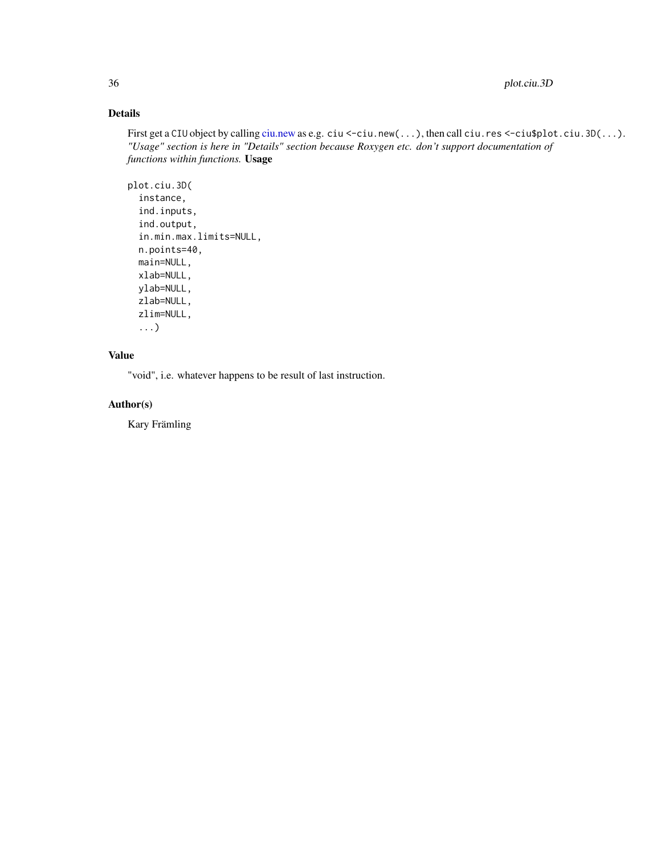## <span id="page-35-0"></span>Details

First get a CIU object by calling [ciu.new](#page-16-1) as e.g. ciu <-ciu.new(...), then call ciu.res <-ciu\$plot.ciu.3D(...). *"Usage" section is here in "Details" section because Roxygen etc. don't support documentation of functions within functions.* Usage

```
plot.ciu.3D(
  instance,
  ind.inputs,
  ind.output,
  in.min.max.limits=NULL,
  n.points=40,
 main=NULL,
  xlab=NULL,
 ylab=NULL,
  zlab=NULL,
  zlim=NULL,
  ...)
```
## Value

"void", i.e. whatever happens to be result of last instruction.

## Author(s)

Kary Främling